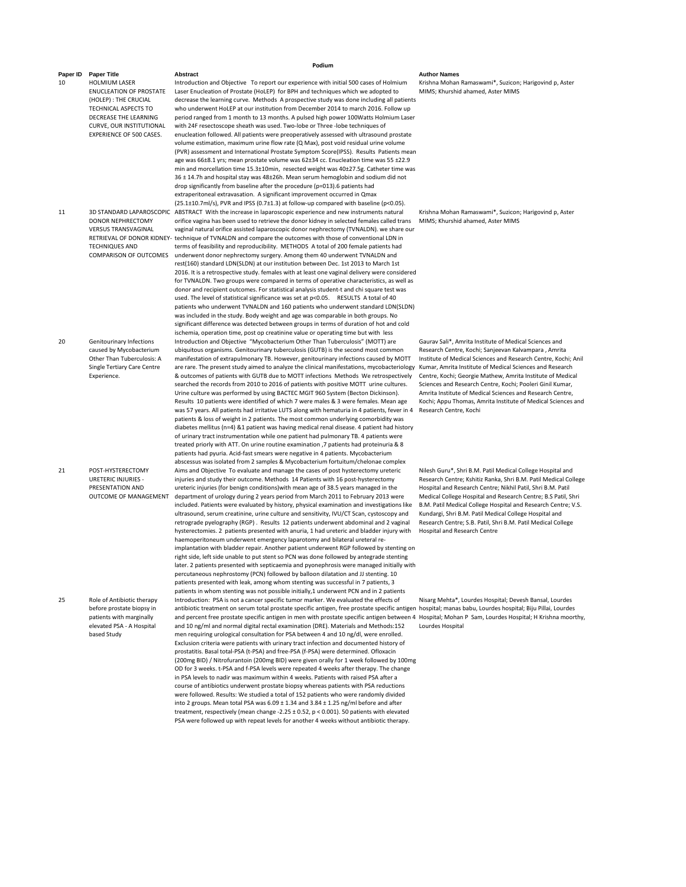| Paper ID | <b>Paper Title</b>                                                            | Abstract                                                                                                                                                                                            | <b>Author Names</b>                                                                                |  |
|----------|-------------------------------------------------------------------------------|-----------------------------------------------------------------------------------------------------------------------------------------------------------------------------------------------------|----------------------------------------------------------------------------------------------------|--|
| 10       | <b>HOLMIUM LASER</b>                                                          | Introduction and Objective To report our experience with initial 500 cases of Holmium                                                                                                               | Krishna Mohan                                                                                      |  |
|          | <b>ENUCLEATION OF PROSTATE</b><br>(HOLEP) : THE CRUCIAL                       | Laser Enucleation of Prostate (HoLEP) for BPH and techniques which we adopted to<br>decrease the learning curve. Methods A prospective study was done including all patients                        | MIMS; Khurshi                                                                                      |  |
|          | TECHNICAL ASPECTS TO<br>DECREASE THE LEARNING                                 | who underwent HoLEP at our institution from December 2014 to march 2016. Follow up<br>period ranged from 1 month to 13 months. A pulsed high power 100Watts Holmium Laser                           |                                                                                                    |  |
|          | CURVE, OUR INSTITUTIONAL<br>EXPERIENCE OF 500 CASES.                          | with 24F resectoscope sheath was used. Two-lobe or Three -lobe techniques of                                                                                                                        |                                                                                                    |  |
|          |                                                                               | enucleation followed. All patients were preoperatively assessed with ultrasound prostate                                                                                                            |                                                                                                    |  |
|          |                                                                               | volume estimation, maximum urine flow rate (Q Max), post void residual urine volume                                                                                                                 |                                                                                                    |  |
|          |                                                                               | (PVR) assessment and International Prostate Symptom Score(IPSS). Results Patients mean                                                                                                              |                                                                                                    |  |
|          |                                                                               | age was 66±8.1 yrs; mean prostate volume was 62±34 cc. Enucleation time was 55 ±22.9<br>min and morcellation time 15.3±10min, resected weight was 40±27.5g. Catheter time was                       |                                                                                                    |  |
|          |                                                                               | 36 ± 14.7h and hospital stay was 48±26h. Mean serum hemoglobin and sodium did not                                                                                                                   |                                                                                                    |  |
|          |                                                                               | drop significantly from baseline after the procedure (p=013).6 patients had                                                                                                                         |                                                                                                    |  |
|          |                                                                               | extraperitoneal extravasation. A significant improvement occurred in Qmax                                                                                                                           |                                                                                                    |  |
| 11       |                                                                               | (25.1±10.7ml/s), PVR and IPSS (0.7±1.3) at follow-up compared with baseline (p<0.05).<br>3D STANDARD LAPAROSCOPIC ABSTRACT With the increase in laparoscopic experience and new instruments natural | Krishna Mohan                                                                                      |  |
|          | DONOR NEPHRECTOMY                                                             | orifice vagina has been used to retrieve the donor kidney in selected females called trans                                                                                                          | MIMS; Khurshi                                                                                      |  |
|          | <b>VERSUS TRANSVAGINAL</b><br><b>TECHNIQUES AND</b><br>COMPARISON OF OUTCOMES | vaginal natural orifice assisted laparoscopic donor nephrectomy (TVNALDN). we share our                                                                                                             |                                                                                                    |  |
|          |                                                                               | RETRIEVAL OF DONOR KIDNEY- technique of TVNALDN and compare the outcomes with those of conventional LDN in                                                                                          |                                                                                                    |  |
|          |                                                                               | terms of feasibility and reproducibility. METHODS A total of 200 female patients had<br>underwent donor nephrectomy surgery. Among them 40 underwent TVNALDN and                                    |                                                                                                    |  |
|          |                                                                               | rest(160) standard LDN(SLDN) at our institution between Dec. 1st 2013 to March 1st                                                                                                                  |                                                                                                    |  |
|          |                                                                               | 2016. It is a retrospective study. females with at least one vaginal delivery were considered                                                                                                       |                                                                                                    |  |
|          |                                                                               | for TVNALDN. Two groups were compared in terms of operative characteristics, as well as                                                                                                             |                                                                                                    |  |
|          |                                                                               | donor and recipient outcomes. For statistical analysis student-t and chi square test was<br>used. The level of statistical significance was set at p<0.05. RESULTS A total of 40                    |                                                                                                    |  |
|          |                                                                               | patients who underwent TVNALDN and 160 patients who underwent standard LDN(SLDN)                                                                                                                    |                                                                                                    |  |
|          |                                                                               | was included in the study. Body weight and age was comparable in both groups. No                                                                                                                    |                                                                                                    |  |
|          |                                                                               | significant difference was detected between groups in terms of duration of hot and cold                                                                                                             |                                                                                                    |  |
|          | Genitourinary Infections                                                      | ischemia, operation time, post op creatinine value or operating time but with less<br>Introduction and Objective "Mycobacterium Other Than Tuberculosis" (MOTT) are                                 | Gaurav Sali*, A                                                                                    |  |
| 20       | caused by Mycobacterium                                                       | ubiquitous organisms. Genitourinary tuberculosis (GUTB) is the second most common                                                                                                                   | Research Centr                                                                                     |  |
|          | Other Than Tuberculosis: A                                                    | manifestation of extrapulmonary TB. However, genitourinary infections caused by MOTT                                                                                                                | Institute of Me                                                                                    |  |
|          | Single Tertiary Care Centre                                                   | are rare. The present study aimed to analyze the clinical manifestations, mycobacteriology Kumar, Amrita                                                                                            | Centre, Kochi; (<br>Sciences and R                                                                 |  |
|          | Experience.                                                                   | & outcomes of patients with GUTB due to MOTT infections Methods We retrospectively<br>searched the records from 2010 to 2016 of patients with positive MOTT urine cultures.                         |                                                                                                    |  |
|          |                                                                               | Urine culture was performed by using BACTEC MGIT 960 System (Becton Dickinson).                                                                                                                     | Amrita Institute                                                                                   |  |
|          |                                                                               | Results 10 patients were identified of which 7 were males & 3 were females. Mean age                                                                                                                | Kochi; Appu Th                                                                                     |  |
|          |                                                                               | was 57 years. All patients had irritative LUTS along with hematuria in 4 patients, fever in 4                                                                                                       | Research Centr                                                                                     |  |
|          |                                                                               | patients & loss of weight in 2 patients. The most common underlying comorbidity was<br>diabetes mellitus (n=4) &1 patient was having medical renal disease. 4 patient had history                   |                                                                                                    |  |
|          |                                                                               | of urinary tract instrumentation while one patient had pulmonary TB. 4 patients were                                                                                                                |                                                                                                    |  |
|          |                                                                               | treated priorly with ATT. On urine routine examination ,7 patients had proteinuria & 8                                                                                                              |                                                                                                    |  |
|          |                                                                               | patients had pyuria. Acid-fast smears were negative in 4 patients. Mycobacterium                                                                                                                    |                                                                                                    |  |
|          | POST-HYSTERECTOMY                                                             | abscessus was isolated from 2 samples & Mycobacterium fortuitum/chelonae complex<br>Aims and Objective To evaluate and manage the cases of post hysterectomy ureteric                               | Nilesh Guru*, S                                                                                    |  |
| 21       | <b>URETERIC INJURIES -</b>                                                    | injuries and study their outcome. Methods 14 Patients with 16 post-hysterectomy                                                                                                                     | Research Centr                                                                                     |  |
|          | PRESENTATION AND<br>OUTCOME OF MANAGEMENT                                     | ureteric injuries (for benign conditions) with mean age of 38.5 years managed in the                                                                                                                | Hospital and Re                                                                                    |  |
|          |                                                                               | department of urology during 2 years period from March 2011 to February 2013 were                                                                                                                   | <b>Medical College</b><br>B.M. Patil Medi<br>Kundargi, Shri I<br>Research Centr<br>Hospital and Re |  |
|          |                                                                               | included. Patients were evaluated by history, physical examination and investigations like<br>ultrasound, serum creatinine, urine culture and sensitivity, IVU/CT Scan, cystoscopy and              |                                                                                                    |  |
|          |                                                                               | retrograde pyelography (RGP). Results 12 patients underwent abdominal and 2 vaginal                                                                                                                 |                                                                                                    |  |
|          |                                                                               | hysterectomies. 2 patients presented with anuria, 1 had ureteric and bladder injury with                                                                                                            |                                                                                                    |  |
|          |                                                                               | haemoperitoneum underwent emergency laparotomy and bilateral ureteral re-                                                                                                                           |                                                                                                    |  |
|          |                                                                               | implantation with bladder repair. Another patient underwent RGP followed by stenting on<br>right side, left side unable to put stent so PCN was done followed by antegrade stenting                 |                                                                                                    |  |
|          |                                                                               | later. 2 patients presented with septicaemia and pyonephrosis were managed initially with                                                                                                           |                                                                                                    |  |
|          |                                                                               | percutaneous nephrostomy (PCN) followed by balloon dilatation and JJ stenting. 10                                                                                                                   |                                                                                                    |  |
|          |                                                                               | patients presented with leak, among whom stenting was successful in 7 patients, 3                                                                                                                   |                                                                                                    |  |
|          | Role of Antibiotic therapy                                                    | patients in whom stenting was not possible initially,1 underwent PCN and in 2 patients<br>Introduction: PSA is not a cancer specific tumor marker. We evaluated the effects of                      | Nisarg Mehta*,                                                                                     |  |
| 25       | before prostate biopsy in                                                     | antibiotic treatment on serum total prostate specific antigen, free prostate specific antigen hospital; mana:                                                                                       |                                                                                                    |  |
|          | patients with marginally<br>elevated PSA - A Hospital<br>based Study          | and percent free prostate specific antigen in men with prostate specific antigen between 4 Hospital; Moha                                                                                           | Lourdes Hospit                                                                                     |  |
|          |                                                                               | and 10 ng/ml and normal digital rectal examination (DRE). Materials and Methods:152                                                                                                                 |                                                                                                    |  |
|          |                                                                               | men requiring urological consultation for PSA between 4 and 10 ng/dl, were enrolled.<br>Exclusion criteria were patients with urinary tract infection and documented history of                     |                                                                                                    |  |
|          |                                                                               | prostatitis. Basal total-PSA (t-PSA) and free-PSA (f-PSA) were determined. Ofloxacin                                                                                                                |                                                                                                    |  |
|          |                                                                               | (200mg BID) / Nitrofurantoin (200mg BID) were given orally for 1 week followed by 100mg                                                                                                             |                                                                                                    |  |
|          |                                                                               | OD for 3 weeks. t-PSA and f-PSA levels were repeated 4 weeks after therapy. The change                                                                                                              |                                                                                                    |  |
|          |                                                                               | in PSA levels to nadir was maximum within 4 weeks. Patients with raised PSA after a<br>course of antibiotics underwent prostate biopsy whereas patients with PSA reductions                         |                                                                                                    |  |
|          |                                                                               |                                                                                                                                                                                                     |                                                                                                    |  |

## **Podium**

**Introductive** To report our experience with initial 500 cases of Holmium of Prostate (HoLEP) for BPH and techniques which we adopted to ing curve. Methods A prospective study was done including all patients oLEP at our institution from December 2014 to march 2016. Follow up m 1 month to 13 months. A pulsed high power 100Watts Holmium Laser ope sheath was used. Two-lobe or Three -lobe techniques of ed. All patients were preoperatively assessed with ultrasound prostate volume estimation, maximum in maximum urine in maximum urine flow rate (Q Max), post void residual urine volume and International Prostate Symptom Score(IPSS). Results Patients mean  $s$ ; mean prostate volume was 62±34 cc. Enucleation time was 55 ±22.9 .<br>ion time 15.3±10min, resected weight was 40±27.5g. Catheter time was spital stay was 48±26h. Mean serum hemoglobin and sodium did not om baseline after the procedure (p=013).6 patients had travasation. A significant improvement occurred in Qmax VR and IPSS (0.7 $\pm$ 1.3) at follow-up compared with baseline (p<0.05). e increase in laparoscopic experience and new instruments natural een used to retrieve the donor kidney in selected females called trans fice assisted laparoscopic donor nephrectomy (TVNALDN). we share our ALDN and compare the outcomes with those of conventional LDN in and reproducibility. METHODS A total of 200 female patients had nephrectomy surgery. Among them 40 underwent TVNALDN and LDN(SLDN) at our institution between Dec. 1st 2013 to March 1st ective study. females with at least one vaginal delivery were considered groups were compared in terms of operative characteristics, as well as t outcomes. For statistical analysis student-t and chi square test was statistical significance was set at p<0.05. RESULTS A total of 40 prwent TVNALDN and 160 patients who underwent standard LDN(SLDN) e study. Body weight and age was comparable in both groups. No ice was detected between groups in terms of duration of hot and cold in time, post op creatinine value or operating time but with less Introduction and Objective "Mycobacterium Other Than Tuberculosis" (MOTT) are ms. Genitourinary tuberculosis (GUTB) is the second most common xtrapulmonary TB. However, genitourinary infections caused by MOTT are rare. The present study aimed to analyze the clinical manifestations, mycobacteriology Kumar, Amrita Institute of Medical Sciences and Research & outcomes of patients with GUTB due to MOTT infections Methods We retrospectively rds from 2010 to 2016 of patients with positive MOTT urine cultures. performed by using BACTEC MGIT 960 System (Becton Dickinson). .<br>s were identified of which 7 were males & 3 were females. Mean age was 57 years. All patients had irritative LUTS along with hematuria in 4 patients, fever in 4 Research Centre, Kochi weight in 2 patients. The most common underlying comorbidity was n=4) &1 patient was having medical renal disease. 4 patient had history trumentation while one patient had pulmonary TB. 4 patients were th ATT. On urine routine examination .7 patients had proteinuria & 8 a. Acid-fast smears were negative in 4 patients. Mycobacterium ated from 2 samples & Mycobacterium fortuitum/chelonae complex e To evaluate and manage the cases of post hysterectomy ureteric their outcome. Methods 14 Patients with 16 post-hysterectomy or benign conditions)with mean age of 38.5 years managed in the logy during 2 years period from March 2011 to February 2013 were were evaluated by history, physical examination and investigations like creatinine, urine culture and sensitivity, IVU/CT Scan, cystoscopy and raphy (RGP) . Results 12 patients underwent abdominal and 2 vaginal hysterectomies. 2 patients presented with anuria, 1 had ureteric and bladder injury with underwent emergency laparotomy and bilateral ureteral rebladder repair. Another patient underwent RGP followed by stenting on unable to put stent so PCN was done followed by antegrade stenting esented with septicaemia and pyonephrosis were managed initially with hrostomy (PCN) followed by balloon dilatation and JJ stenting. 10 with leak, among whom stenting was successful in 7 patients, 3 tenting was not possible initially,1 underwent PCN and in 2 patients is not a cancer specific tumor marker. We evaluated the effects of antibiotic treatment on serum total prostate specific antigen, free prostate specific antigen hospital; manas babu, Lourdes hospital; Biju Pillai, Lourdes and percent free prostate specific antigen in men with prostate specific antigen between 4 Hospital; Mohan P Sam, Lourdes Hospital; H Krishna moorthy, normal digital rectal examination (DRE). Materials and Methods:152 logical consultation for PSA between 4 and 10 ng/dl, were enrolled. ere patients with urinary tract infection and documented history of prostal-PSA (t-PSA) and free-PSA (f-PSA) were determined. Ofloxacin ofurantoin (200mg BID) were given orally for 1 week followed by 100mg PSA and f-PSA levels were repeated 4 weeks after therapy. The change dir was maximum within 4 weeks. Patients with raised PSA after a cs underwent prostate biopsy whereas patients with PSA reductions were followed. Results: We studied a total of 152 patients who were randomly divided into 2 groups. Mean total PSA was 6.09 ± 1.34 and 3.84 ± 1.25 ng/ml before and after treatment, respectively (mean change -2.25 ± 0.52, p < 0.001). 50 patients with elevated PSA were followed up with repeat levels for another 4 weeks without antibiotic therapy

Krishna Mohan Ramaswami\*, Suzicon; Harigovind p, Aster MIMS; Khurshid ahamed, Aster MIMS

Krishna Mohan Ramaswami\*, Suzicon; Harigovind p, Aster MIMS; Khurshid ahamed, Aster MIMS

Gaurav Sali\*, Amrita Institute of Medical Sciences and Research Centre, Kochi; Sanjeevan Kalvampara , Amrita Institute of Medical Sciences and Research Centre, Kochi; Anil Centre, Kochi; Georgie Mathew, Amrita Institute of Medical Sciences and Research Centre, Kochi; Pooleri Ginil Kumar, Amrita Institute of Medical Sciences and Research Centre, Kochi; Appu Thomas, Amrita Institute of Medical Sciences and

Nilesh Guru\*, Shri B.M. Patil Medical College Hospital and Research Centre; Kshitiz Ranka, Shri B.M. Patil Medical College Hospital and Research Centre; Nikhil Patil, Shri B.M. Patil Medical College Hospital and Research Centre; B.S Patil, Shri B.M. Patil Medical College Hospital and Research Centre; V.S. Kundargi, Shri B.M. Patil Medical College Hospital and Research Centre; S.B. Patil, Shri B.M. Patil Medical College Hospital and Research Centre

Nisarg Mehta\*, Lourdes Hospital; Devesh Bansal, Lourdes Lourdes Hospital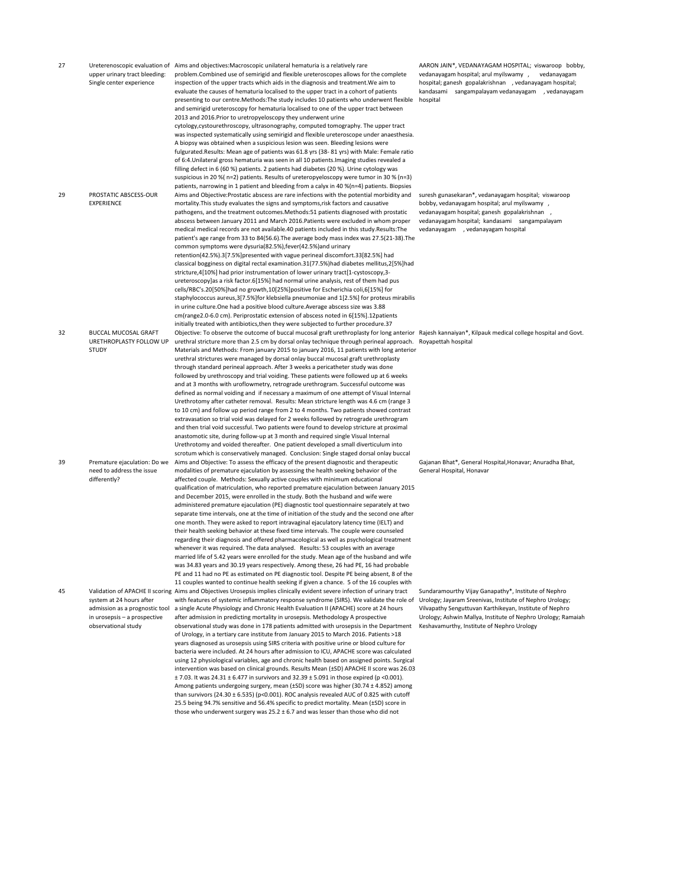| 27 | upper urinary tract bleeding:<br>Single center experience                                                         | Ureterenoscopic evaluation of Aims and objectives: Macroscopic unilateral hematuria is a relatively rare<br>problem.Combined use of semirigid and flexible ureteroscopes allows for the complete<br>inspection of the upper tracts which aids in the diagnosis and treatment. We aim to<br>evaluate the causes of hematuria localised to the upper tract in a cohort of patients<br>presenting to our centre. Methods: The study includes 10 patients who underwent flexible<br>and semirigid ureteroscopy for hematuria localised to one of the upper tract between<br>2013 and 2016. Prior to uretropyeloscopy they underwent urine<br>cytology, cystourethroscopy, ultrasonography, computed tomography. The upper tract<br>was inspected systematically using semirigid and flexible ureteroscope under anaesthesia.<br>A biopsy was obtained when a suspicious lesion was seen. Bleeding lesions were<br>fulgurated.Results: Mean age of patients was 61.8 yrs (38-81 yrs) with Male: Female ratio<br>of 6:4. Unilateral gross hematuria was seen in all 10 patients. Imaging studies revealed a<br>filling defect in 6 (60 %) patients. 2 patients had diabetes (20 %). Urine cytology was<br>suspicious in 20 %(n=2) patients. Results of ureteropyeloscopy were tumor in 30 % (n=3)<br>patients, narrowing in 1 patient and bleeding from a calyx in 40 %(n=4) patients. Biopsies                                                                             | AARON JAIN*, VEDANAYAGAM HOSPITAL; viswaroop bobby,<br>vedanayagam hospital; arul myilswamy,<br>vedanayagam<br>hospital; ganesh gopalakrishnan , vedanayagam hospital;<br>kandasami sangampalayam vedanayagam , vedanayagam<br>hospital                                                   |
|----|-------------------------------------------------------------------------------------------------------------------|-----------------------------------------------------------------------------------------------------------------------------------------------------------------------------------------------------------------------------------------------------------------------------------------------------------------------------------------------------------------------------------------------------------------------------------------------------------------------------------------------------------------------------------------------------------------------------------------------------------------------------------------------------------------------------------------------------------------------------------------------------------------------------------------------------------------------------------------------------------------------------------------------------------------------------------------------------------------------------------------------------------------------------------------------------------------------------------------------------------------------------------------------------------------------------------------------------------------------------------------------------------------------------------------------------------------------------------------------------------------------------------------------------------------------------------------------------------------------|-------------------------------------------------------------------------------------------------------------------------------------------------------------------------------------------------------------------------------------------------------------------------------------------|
| 29 | PROSTATIC ABSCESS-OUR<br><b>EXPERIENCE</b>                                                                        | Aims and Objective:Prostatic abscess are rare infections with the potential morbidity and<br>mortality. This study evaluates the signs and symptoms, risk factors and causative<br>pathogens, and the treatment outcomes. Methods:51 patients diagnosed with prostatic<br>abscess between January 2011 and March 2016. Patients were excluded in whom proper<br>medical medical records are not available.40 patients included in this study.Results:The<br>patient's age range from 33 to 84(56.6). The average body mass index was 27.5(21-38). The<br>common symptoms were dysuria(82.5%), fever(42.5%) and urinary<br>retention(42.5%).3[7.5%]presented with vague perineal discomfort.33[82.5%] had<br>classical bogginess on digital rectal examination.31(77.5%)had diabetes mellitus,2[5%]had<br>stricture,4[10%] had prior instrumentation of lower urinary tract[1-cystoscopy,3-<br>ureteroscopy]as a risk factor.6[15%] had normal urine analysis, rest of them had pus<br>cells/RBC's.20[50%]had no growth,10[25%]positive for Escherichia coli,6[15%] for<br>staphylococcus aureus, 3[7.5%] for klebsiella pneumoniae and 1[2.5%] for proteus mirabilis<br>in urine culture. One had a positive blood culture. Average abscess size was 3.88<br>cm(range2.0-6.0 cm). Periprostatic extension of abscess noted in 6[15%].12patients<br>initially treated with antibiotics, then they were subjected to further procedure.37                               | suresh gunasekaran*, vedanayagam hospital; viswaroop<br>bobby, vedanayagam hospital; arul myilswamy,<br>vedanayagam hospital; ganesh gopalakrishnan,<br>vedanayagam hospital; kandasami sangampalayam<br>vedanayagam , vedanayagam hospital                                               |
| 32 | BUCCAL MUCOSAL GRAFT<br>URETHROPLASTY FOLLOW UP<br><b>STUDY</b>                                                   | Objective: To observe the outcome of buccal mucosal graft urethroplasty for long anterior Rajesh kannaiyan*, Kilpauk medical college hospital and Govt.<br>urethral stricture more than 2.5 cm by dorsal onlay technique through perineal approach. Royapettah hospital<br>Materials and Methods: From january 2015 to january 2016, 11 patients with long anterior<br>urethral strictures were managed by dorsal onlay buccal mucosal graft urethroplasty<br>through standard perineal approach. After 3 weeks a pericatheter study was done<br>followed by urethroscopy and trial voiding. These patients were followed up at 6 weeks<br>and at 3 months with uroflowmetry, retrograde urethrogram. Successful outcome was<br>defined as normal voiding and if necessary a maximum of one attempt of Visual Internal<br>Urethrotomy after catheter removal. Results: Mean stricture length was 4.6 cm (range 3<br>to 10 cm) and follow up period range from 2 to 4 months. Two patients showed contrast<br>extravasation so trial void was delayed for 2 weeks followed by retrograde urethrogram<br>and then trial void successful. Two patients were found to develop stricture at proximal<br>anastomotic site, during follow-up at 3 month and required single Visual Internal<br>Urethrotomy and voided thereafter. One patient developed a small diverticulum into<br>scrotum which is conservatively managed. Conclusion: Single staged dorsal onlay buccal  |                                                                                                                                                                                                                                                                                           |
| 39 | Premature ejaculation: Do we<br>need to address the issue<br>differently?                                         | Aims and Objective: To assess the efficacy of the present diagnostic and therapeutic<br>modalities of premature ejaculation by assessing the health seeking behavior of the<br>affected couple. Methods: Sexually active couples with minimum educational<br>qualification of matriculation, who reported premature ejaculation between January 2015<br>and December 2015, were enrolled in the study. Both the husband and wife were<br>administered premature ejaculation (PE) diagnostic tool questionnaire separately at two<br>separate time intervals, one at the time of initiation of the study and the second one after<br>one month. They were asked to report intravaginal ejaculatory latency time (IELT) and<br>their health seeking behavior at these fixed time intervals. The couple were counseled<br>regarding their diagnosis and offered pharmacological as well as psychological treatment<br>whenever it was required. The data analysed. Results: 53 couples with an average<br>married life of 5.42 years were enrolled for the study. Mean age of the husband and wife<br>was 34.83 years and 30.19 years respectively. Among these, 26 had PE, 16 had probable<br>PE and 11 had no PE as estimated on PE diagnostic tool. Despite PE being absent, 8 of the<br>11 couples wanted to continue health seeking if given a chance. 5 of the 16 couples with                                                                                     | Gajanan Bhat*, General Hospital, Honavar; Anuradha Bhat,<br>General Hospital, Honavar                                                                                                                                                                                                     |
| 45 | system at 24 hours after<br>admission as a prognostic tool<br>in urosepsis - a prospective<br>observational study | Validation of APACHE II scoring Aims and Objectives Urosepsis implies clinically evident severe infection of urinary tract<br>with features of systemic inflammatory response syndrome (SIRS). We validate the role of<br>a single Acute Physiology and Chronic Health Evaluation II (APACHE) score at 24 hours<br>after admission in predicting mortality in urosepsis. Methodology A prospective<br>observational study was done in 178 patients admitted with urosepsis in the Department<br>of Urology, in a tertiary care institute from January 2015 to March 2016. Patients >18<br>years diagnosed as urosepsis using SIRS criteria with positive urine or blood culture for<br>bacteria were included. At 24 hours after admission to ICU, APACHE score was calculated<br>using 12 physiological variables, age and chronic health based on assigned points. Surgical<br>intervention was based on clinical grounds. Results Mean (±SD) APACHE II score was 26.03<br>$\pm$ 7.03. It was 24.31 $\pm$ 6.477 in survivors and 32.39 $\pm$ 5.091 in those expired (p <0.001).<br>Among patients undergoing surgery, mean $(\pm SD)$ score was higher (30.74 $\pm$ 4.852) among<br>than survivors (24.30 $\pm$ 6.535) (p<0.001). ROC analysis revealed AUC of 0.825 with cutoff<br>25.5 being 94.7% sensitive and 56.4% specific to predict mortality. Mean (±SD) score in<br>those who underwent surgery was $25.2 \pm 6.7$ and was lesser than those who did not | Sundaramourthy Vijay Ganapathy*, Institute of Nephro<br>Urology; Jayaram Sreenivas, Institute of Nephro Urology;<br>Vilvapathy Senguttuvan Karthikeyan, Institute of Nephro<br>Urology; Ashwin Mallya, Institute of Nephro Urology; Ramaiah<br>Keshavamurthy, Institute of Nephro Urology |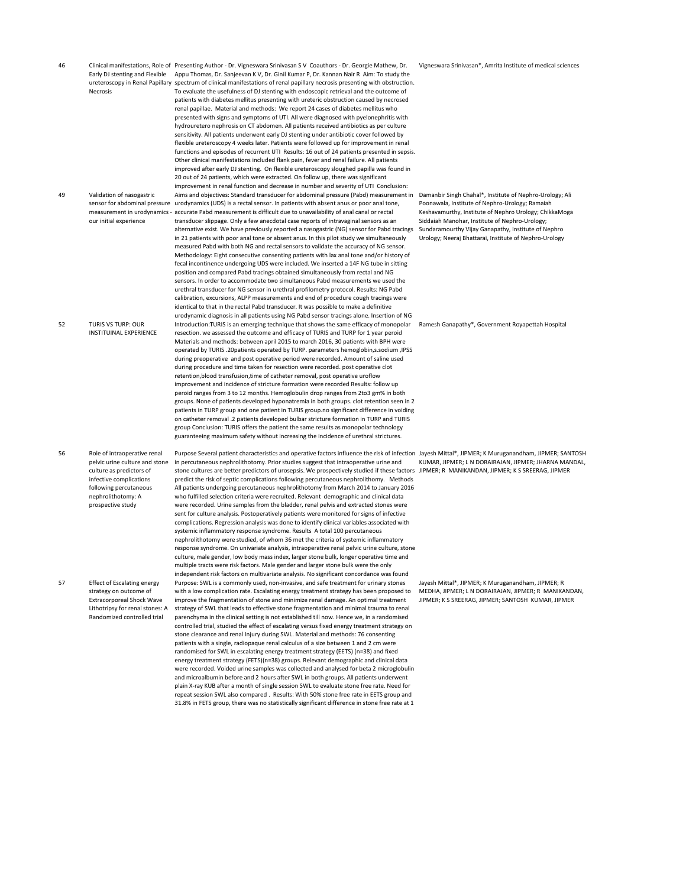Necrosis

49 Validation of nasogastric our initial experience

52 TURIS VS TURP: OUR INSTITUINAL EXPERIENCE

56 Role of intraoperative renal pelvic urine culture and stone culture as predictors of infective complications following percutaneous nephrolithotomy: A prospective study

57 Effect of Escalating energy strategy on outcome of Extracorporeal Shock Wave Lithotripsy for renal stones: A Randomized controlled trial

46 Clinical manifestations, Role of Presenting Author - Dr. Vigneswara Srinivasan S V Coauthors - Dr. Georgie Mathew, Dr. Early DJ stenting and Flexible Appu Thomas, Dr. Sanjeevan K V, Dr. Ginil Kumar P, Dr. Kannan Nair R Aim: To study the ureteroscopy in Renal Papillary spectrum of clinical manifestations of renal papillary necrosis presenting with obstruction. To evaluate the usefulness of DJ stenting with endoscopic retrieval and the outcome of patients with diabetes mellitus presenting with ureteric obstruction caused by necrosed renal papillae. Material and methods: We report 24 cases of diabetes mellitus who presented with signs and symptoms of UTI. All were diagnosed with pyelonephritis with hydrouretero nephrosis on CT abdomen. All patients received antibiotics as per culture sensitivity. All patients underwent early DJ stenting under antibiotic cover followed by flexible ureteroscopy 4 weeks later. Patients were followed up for improvement in renal functions and episodes of recurrent UTI Results: 16 out of 24 patients presented in sepsis. Other clinical manifestations included flank pain, fever and renal failure. All patients improved after early DJ stenting. On flexible ureteroscopy sloughed papilla was found in 20 out of 24 patients, which were extracted. On follow up, there was significant improvement in renal function and decrease in number and severity of UTI Conclusion: Aims and objectives: Standard transducer for abdominal pressure (Pabd) measurement in sensor for abdominal pressure urodynamics (UDS) is a rectal sensor. In patients with absent anus or poor anal tone, measurement in urodynamics - accurate Pabd measurement is difficult due to unavailability of anal canal or rectal transducer slippage. Only a few anecdotal case reports of intravaginal sensors as an alternative exist. We have previously reported a nasogastric (NG) sensor for Pabd tracings in 21 patients with poor anal tone or absent anus. In this pilot study we simultaneously measured Pabd with both NG and rectal sensors to validate the accuracy of NG sensor. Methodology: Eight consecutive consenting patients with lax anal tone and/or history of fecal incontinence undergoing UDS were included. We inserted a 14F NG tube in sitting position and compared Pabd tracings obtained simultaneously from rectal and NG sensors. In order to accommodate two simultaneous Pabd measurements we used the urethral transducer for NG sensor in urethral profilometry protocol. Results: NG Pabd calibration, excursions, ALPP measurements and end of procedure cough tracings were identical to that in the rectal Pabd transducer. It was possible to make a definitive urodynamic diagnosis in all patients using NG Pabd sensor tracings alone. Insertion of NG Introduction:TURIS is an emerging technique that shows the same efficacy of monopolar resection. we assessed the outcome and efficacy of TURIS and TURP for 1 year peroid Materials and methods: between april 2015 to march 2016, 30 patients with BPH were operated by TURIS .20patients operated by TURP. parameters hemoglobin,s.sodium ,IPSS during preoperative and post operative period were recorded. Amount of saline used during procedure and time taken for resection were recorded. post operative clot retention,blood transfusion,time of catheter removal, post operative uroflow improvement and incidence of stricture formation were recorded Results: follow up peroid ranges from 3 to 12 months. Hemoglobulin drop ranges from 2to3 gm% in both groups. None of patients developed hyponatremia in both groups. clot retention seen in 2 patients in TURP group and one patient in TURIS group.no significant difference in voiding on catheter removal .2 patients developed bulbar stricture formation in TURP and TURIS group Conclusion: TURIS offers the patient the same results as monopolar technology guaranteeing maximum safety without increasing the incidence of urethral strictures.

> Purpose Several patient characteristics and operative factors influence the risk of infection Jayesh Mittal\*, JIPMER; K Muruganandham, JIPMER; SANTOSH in percutaneous nephrolithotomy. Prior studies suggest that intraoperative urine and stone cultures are better predictors of urosepsis. We prospectively studied if these factors JIPMER; R MANIKANDAN, JIPMER; K S SREERAG, JIPMER predict the risk of septic complications following percutaneous nephrolithomy. Methods All patients undergoing percutaneous nephrolithotomy from March 2014 to January 2016 who fulfilled selection criteria were recruited. Relevant demographic and clinical data were recorded. Urine samples from the bladder, renal pelvis and extracted stones were sent for culture analysis. Postoperatively patients were monitored for signs of infective complications. Regression analysis was done to identify clinical variables associated with systemic inflammatory response syndrome. Results A total 100 percutaneous nephrolithotomy were studied, of whom 36 met the criteria of systemic inflammatory response syndrome. On univariate analysis, intraoperative renal pelvic urine culture, stone culture, male gender, low body mass index, larger stone bulk, longer operative time and multiple tracts were risk factors. Male gender and larger stone bulk were the only independent risk factors on multivariate analysis. No significant concordance was found Purpose: SWL is a commonly used, non-invasive, and safe treatment for urinary stones with a low complication rate. Escalating energy treatment strategy has been proposed to improve the fragmentation of stone and minimize renal damage. An optimal treatment strategy of SWL that leads to effective stone fragmentation and minimal trauma to renal parenchyma in the clinical setting is not established till now. Hence we, in a randomised controlled trial, studied the effect of escalating versus fixed energy treatment strategy on stone clearance and renal Injury during SWL. Material and methods: 76 consenting patients with a single, radiopaque renal calculus of a size between 1 and 2 cm were randomised for SWL in escalating energy treatment strategy (EETS) (n=38) and fixed energy treatment strategy (FETS)(n=38) groups. Relevant demographic and clinical data were recorded. Voided urine samples was collected and analysed for beta 2 microglobulin and microalbumin before and 2 hours after SWL in both groups. All patients underwent plain X-ray KUB after a month of single session SWL to evaluate stone free rate. Need for repeat session SWL also compared . Results: With 50% stone free rate in EETS group and 31.8% in FETS group, there was no statistically significant difference in stone free rate at 1

Vigneswara Srinivasan\*, Amrita Institute of medical sciences

Damanbir Singh Chahal\*, Institute of Nephro-Urology; Ali Poonawala, Institute of Nephro-Urology; Ramaiah Keshavamurthy, Institute of Nephro Urology; ChikkaMoga Siddaiah Manohar, Institute of Nephro-Urology; Sundaramourthy Vijay Ganapathy, Institute of Nephro Urology; Neeraj Bhattarai, Institute of Nephro-Urology

Ramesh Ganapathy\*, Government Royapettah Hospital

KUMAR, JIPMER; L N DORAIRAJAN, JIPMER; JHARNA MANDAL,

Jayesh Mittal\*, JIPMER; K Muruganandham, JIPMER; R MEDHA, JIPMER; L N DORAIRAJAN, JIPMER; R MANIKANDAN, JIPMER; K S SREERAG, JIPMER; SANTOSH KUMAR, JIPMER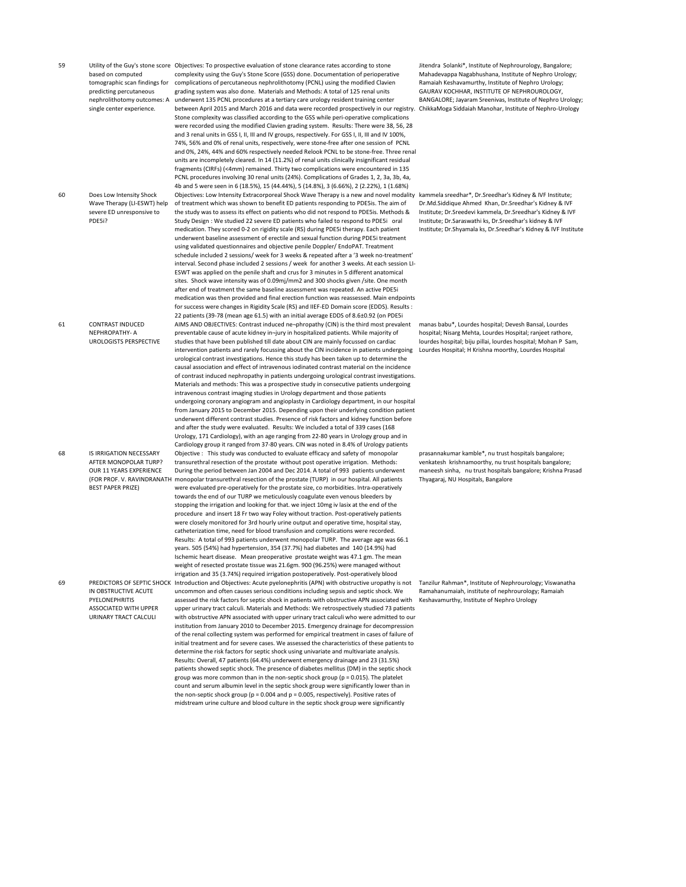- based on computed tomographic scan findings for predicting percutaneous nephrolithotomy outcomes: A single center experience.
- 60 Does Low Intensity Shock Wave Therapy (LI-ESWT) help severe ED unresponsive to PDE5i?

61 CONTRAST INDUCED NEPHROPATHY- A UROLOGISTS PERSPECTIVE

- 68 IS IRRIGATION NECESSARY AFTER MONOPOLAR TURP? OUR 11 YEARS EXPERIENCE BEST PAPER PRIZE)
- IN OBSTRUCTIVE ACUTE PYELONEPHRITIS ASSOCIATED WITH UPPER URINARY TRACT CALCULI

59 Utility of the Guy's stone score Objectives: To prospective evaluation of stone clearance rates according to stone complexity using the Guy's Stone Score (GSS) done. Documentation of perioperative complications of percutaneous nephrolithotomy (PCNL) using the modified Clavien grading system was also done. Materials and Methods: A total of 125 renal units underwent 135 PCNL procedures at a tertiary care urology resident training center between April 2015 and March 2016 and data were recorded prospectively in our registry. Stone complexity was classified according to the GSS while peri-operative complications were recorded using the modified Clavien grading system. Results: There were 38, 56, 28 and 3 renal units in GSS I, II, III and IV groups, respectively. For GSS I, II, III and IV 100%, 74%, 56% and 0% of renal units, respectively, were stone-free after one session of PCNL and 0%, 24%, 44% and 60% respectively needed Relook PCNL to be stone-free. Three renal units are incompletely cleared. In 14 (11.2%) of renal units clinically insignificant residual fragments (CIRFs) (<4mm) remained. Thirty two complications were encountered in 135 PCNL procedures involving 30 renal units (24%). Complications of Grades 1, 2, 3a, 3b, 4a, 4b and 5 were seen in 6 (18.5%), 15 (44.44%), 5 (14.8%), 3 (6.66%), 2 (2.22%), 1 (1.68%) Objectives: Low Intensity Extracorporeal Shock Wave Therapy is a new and novel modality of treatment which was shown to benefit ED patients responding to PDE5is. The aim of the study was to assess its effect on patients who did not respond to PDE5is. Methods & Study Design : We studied 22 severe ED patients who failed to respond to PDE5i oral medication. They scored 0-2 on rigidity scale (RS) during PDE5i therapy. Each patient underwent baseline assessment of erectile and sexual function during PDE5i treatment using validated questionnaires and objective penile Doppler/ EndoPAT. Treatment schedule included 2 sessions/ week for 3 weeks & repeated after a '3 week no-treatment' interval. Second phase included 2 sessions / week for another 3 weeks. At each session LI-ESWT was applied on the penile shaft and crus for 3 minutes in 5 different anatomical sites. Shock wave intensity was of 0.09mj/mm2 and 300 shocks given /site. One month after end of treatment the same baseline assessment was repeated. An active PDE5i medication was then provided and final erection function was reassessed. Main endpoints for success were changes in Rigidity Scale (RS) and IIEF-ED Domain score (EDDS). Results : 22 patients (39-78 (mean age 61.5) with an initial average EDDS of 8.6±0.92 (on PDE5i AIMS AND OBJECTIVES: Contrast induced ne¬phropathy (CIN) is the third most prevalent preventable cause of acute kidney in¬jury in hospitalized patients. While majority of studies that have been published till date about CIN are mainly focussed on cardiac intervention patients and rarely focussing about the CIN incidence in patients undergoing urological contrast investigations. Hence this study has been taken up to determine the causal association and effect of intravenous iodinated contrast material on the incidence of contrast induced nephropathy in patients undergoing urological contrast investigations. Materials and methods: This was a prospective study in consecutive patients undergoing intravenous contrast imaging studies in Urology department and those patients undergoing coronary angiogram and angioplasty in Cardiology department, in our hospital from January 2015 to December 2015. Depending upon their underlying condition patient underwent different contrast studies. Presence of risk factors and kidney function before and after the study were evaluated. Results: We included a total of 339 cases (168 Urology, 171 Cardiology), with an age ranging from 22-80 years in Urology group and in Cardiology group it ranged from 37-80 years. CIN was noted in 8.4% of Urology patients Objective : This study was conducted to evaluate efficacy and safety of monopolar (FOR PROF. V. RAVINDRANATH monopolar transurethral resection of the prostate (TURP) in our hospital. All patients transurethral resection of the prostate without post operative irrigation. Methods: During the period between Jan 2004 and Dec 2014. A total of 993 patients underwent were evaluated pre-operatively for the prostate size, co morbidities. Intra-operatively towards the end of our TURP we meticulously coagulate even venous bleeders by stopping the irrigation and looking for that. we inject 10mg iv lasix at the end of the procedure and insert 18 Fr two way Foley without traction. Post-operatively patients were closely monitored for 3rd hourly urine output and operative time, hospital stay, catheterization time, need for blood transfusion and complications were recorded. Results: A total of 993 patients underwent monopolar TURP. The average age was 66.1 years. 505 (54%) had hypertension, 354 (37.7%) had diabetes and 140 (14.9%) had Ischemic heart disease. Mean preoperative prostate weight was 47.1 gm. The mean weight of resected prostate tissue was 21.6gm. 900 (96.25%) were managed without irrigation and 35 (3.74%) required irrigation postoperatively. Post-operatively blood 69 PREDICTORS OF SEPTIC SHOCK Introduction and Objectives: Acute pyelonephritis (APN) with obstructive uropathy is not Tanzilur Rahman\*, Institute of Nephrourology; Viswanatha uncommon and often causes serious conditions including sepsis and septic shock. We assessed the risk factors for septic shock in patients with obstructive APN associated with upper urinary tract calculi. Materials and Methods: We retrospectively studied 73 patients with obstructive APN associated with upper urinary tract calculi who were admitted to our institution from January 2010 to December 2015. Emergency drainage for decompression of the renal collecting system was performed for empirical treatment in cases of failure of initial treatment and for severe cases. We assessed the characteristics of these patients to determine the risk factors for septic shock using univariate and multivariate analysis. Results: Overall, 47 patients (64.4%) underwent emergency drainage and 23 (31.5%) patients showed septic shock. The presence of diabetes mellitus (DM) in the septic shock group was more common than in the non-septic shock group (p = 0.015). The platelet count and serum albumin level in the septic shock group were significantly lower than in

the non-septic shock group ( $p = 0.004$  and  $p = 0.005$ , respectively). Positive rates of midstream urine culture and blood culture in the septic shock group were significantly

Jitendra Solanki\*, Institute of Nephrourology, Bangalore; Mahadevappa Nagabhushana, Institute of Nephro Urology; Ramaiah Keshavamurthy, Institute of Nephro Urology; GAURAV KOCHHAR, INSTITUTE OF NEPHROUROLOGY, BANGALORE; Jayaram Sreenivas, Institute of Nephro Urology; ChikkaMoga Siddaiah Manohar, Institute of Nephro-Urology

kammela sreedhar\*, Dr.Sreedhar's Kidney & IVF Institute; Dr.Md.Siddique Ahmed Khan, Dr.Sreedhar's Kidney & IVF Institute; Dr.Sreedevi kammela, Dr.Sreedhar's Kidney & IVF Institute; Dr.Saraswathi ks, Dr.Sreedhar's kidney & IVF Institute; Dr.Shyamala ks, Dr.Sreedhar's Kidney & IVF Institute

manas babu\*, Lourdes hospital; Devesh Bansal, Lourdes hospital; Nisarg Mehta, Lourdes Hospital; ranjeet rathore, lourdes hospital; biju pillai, lourdes hospital; Mohan P Sam, Lourdes Hospital; H Krishna moorthy, Lourdes Hospital

prasannakumar kamble\*, nu trust hospitals bangalore; venkatesh krishnamoorthy, nu trust hospitals bangalore; maneesh sinha, nu trust hospitals bangalore; Krishna Prasad Thyagaraj, NU Hospitals, Bangalore

Ramahanumaiah, institute of nephrourology; Ramaiah Keshavamurthy, Institute of Nephro Urology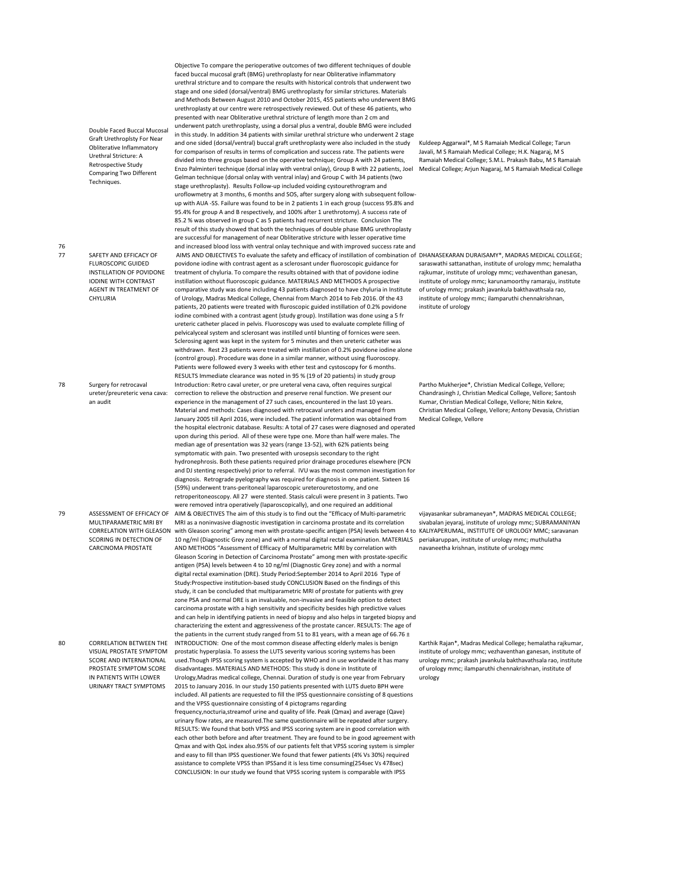Double Faced Buccal Mucosal Graft Urethroplsty For Near Obliterative Inflammatory Urethral Stricture: A Retrospective Study Comparing Two Different **Techniques** 

76

77 SAFETY AND EFFICACY OF FLUROSCOPIC GUIDED INSTILLATION OF POVIDONE IODINE WITH CONTRAST AGENT IN TREATMENT OF CHYLURIA

78 Surgery for retrocaval ureter/preureteric vena cava: an audit

79 ASSESSMENT OF EFFICACY OF MULTIPARAMETRIC MRLBY SCORING IN DETECTION OF CARCINOMA PROSTATE

80 CORRELATION BETWEEN THE VISUAL PROSTATE SYMPTOM SCORE AND INTERNATIONAL PROSTATE SYMPTOM SCORE IN PATIENTS WITH LOWER URINARY TRACT SYMPTOMS

Objective To compare the perioperative outcomes of two different techniques of double faced buccal mucosal graft (BMG) urethroplasty for near Obliterative inflammatory urethral stricture and to compare the results with historical controls that underwent two stage and one sided (dorsal/ventral) BMG urethroplasty for similar strictures. Materials and Methods Between August 2010 and October 2015, 455 patients who underwent BMG urethroplasty at our centre were retrospectively reviewed. Out of these 46 patients, who presented with near Obliterative urethral stricture of length more than 2 cm and underwent patch urethroplasty, using a dorsal plus a ventral, double BMG were included in this study. In addition 34 patients with similar urethral stricture who underwent 2 stage and one sided (dorsal/ventral) buccal graft urethroplasty were also included in the study for comparison of results in terms of complication and success rate. The patients were divided into three groups based on the operative technique; Group A with 24 patients, Enzo Palminteri technique (dorsal inlay with ventral onlay), Group B with 22 patients, Joel Gelman technique (dorsal onlay with ventral inlay) and Group C with 34 patients (two stage urethroplasty). Results Follow-up included voiding cystourethrogram and uroflowmetry at 3 months, 6 months and SOS, after surgery along with subsequent followup with AUA -SS. Failure was found to be in 2 patients 1 in each group (success 95.8% and 95.4% for group A and B respectively, and 100% after 1 urethrotomy). A success rate of 85.2 % was observed in group C as 5 patients had recurrent stricture. Conclusion The result of this study showed that both the techniques of double phase BMG urethroplasty are successful for management of near Obliterative stricture with lesser operative time and increased blood loss with ventral onlay technique and with improved success rate and AIMS AND OBJECTIVES To evaluate the safety and efficacy of instillation of combination of DHANASEKARAN DURAISAMY\*, MADRAS MEDICAL COLLEGE; povidone iodine with contrast agent as a sclerosant under fluoroscopic guidance for treatment of chyluria. To compare the results obtained with that of povidone iodine instillation without fluoroscopic guidance. MATERIALS AND METHODS A prospective comparative study was done including 43 patients diagnosed to have chyluria in Institute of Urology, Madras Medical College, Chennai from March 2014 to Feb 2016. 0f the 43 patients, 20 patients were treated with fluroscopic guided instillation of 0.2% povidone iodine combined with a contrast agent (study group). Instillation was done using a 5 fr ureteric catheter placed in pelvis. Fluoroscopy was used to evaluate complete filling of pelvicalyceal system and sclerosant was instilled until blunting of fornices were seen. Sclerosing agent was kept in the system for 5 minutes and then ureteric catheter was withdrawn. Rest 23 patients were treated with instillation of 0.2% povidone iodine alone (control group). Procedure was done in a similar manner, without using fluoroscopy. Patients were followed every 3 weeks with ether test and cystoscopy for 6 months. RESULTS Immediate clearance was noted in 95 % (19 of 20 patients) in study group Introduction: Retro caval ureter, or pre ureteral vena cava, often requires surgical correction to relieve the obstruction and preserve renal function. We present our experience in the management of 27 such cases, encountered in the last 10 years. Material and methods: Cases diagnosed with retrocaval ureters and managed from January 2005 till April 2016, were included. The patient information was obtained from the hospital electronic database. Results: A total of 27 cases were diagnosed and operated upon during this period. All of these were type one. More than half were males. The median age of presentation was 32 years (range 13-52), with 62% patients being symptomatic with pain. Two presented with urosepsis secondary to the right hydronephrosis. Both these patients required prior drainage procedures elsewhere (PCN and DJ stenting respectively) prior to referral. IVU was the most common investigation for diagnosis. Retrograde pyelography was required for diagnosis in one patient. Sixteen 16 (59%) underwent trans-peritoneal laparoscopic ureterouretostomy, and one retroperitoneoscopy. All 27 were stented. Stasis calculi were present in 3 patients. Two were removed intra operatively (laparoscopically), and one required an additional AIM & OBJECTIVES The aim of this study is to find out the "Efficacy of Multi-parametric CORRELATION WITH GLEASON with Gleason scoring" among men with prostate-specific antigen (PSA) levels between 4 to KALIYAPERUMAL, INSTITUTE OF UROLOGY MMC; saravanan MRI as a noninvasive diagnostic investigation in carcinoma prostate and its correlation 10 ng/ml (Diagnostic Grey zone) and with a normal digital rectal examination. MATERIALS AND METHODS "Assessment of Efficacy of Multiparametric MRI by correlation with Gleason Scoring in Detection of Carcinoma Prostate" among men with prostate-specific antigen (PSA) levels between 4 to 10 ng/ml (Diagnostic Grey zone) and with a normal digital rectal examination (DRE). Study Period:September 2014 to April 2016 Type of Study:Prospective institution-based study CONCLUSION Based on the findings of this study, it can be concluded that multiparametric MRI of prostate for patients with grey zone PSA and normal DRE is an invaluable, non-invasive and feasible option to detect carcinoma prostate with a high sensitivity and specificity besides high predictive values and can help in identifying patients in need of biopsy and also helps in targeted biopsy and characterizing the extent and aggressiveness of the prostate cancer. RESULTS: The age of the patients in the current study ranged from 51 to 81 years, with a mean age of 66.76  $\pm$  INTRODUCTION: One of the most common disease affecting elderly males is benign prostatic hyperplasia. To assess the LUTS severity various scoring systems has been used.Though IPSS scoring system is accepted by WHO and in use worldwide it has many disadvantages. MATERIALS AND METHODS: This study is done in Institute of Urology,Madras medical college, Chennai. Duration of study is one year from February 2015 to January 2016. In our study 150 patients presented with LUTS dueto BPH were included. All patients are requested to fill the IPSS questionnaire consisting of 8 questions and the VPSS questionnaire consisting of 4 pictograms regarding frequency,nocturia,streamof urine and quality of life. Peak (Qmax) and average (Qave) urinary flow rates, are measured.The same questionnaire will be repeated after surgery. RESULTS: We found that both VPSS and IPSS scoring system are in good correlation with each other both before and after treatment. They are found to be in good agreement with Qmax and with QoL index also.95% of our patients felt that VPSS scoring system is simpler and easy to fill than IPSS questioner.We found that fewer patients (4% Vs 30%) required assistance to complete VPSS than IPSSand it is less time consuming(254sec Vs 478sec) CONCLUSION: In our study we found that VPSS scoring system is comparable with IPSS

Kuldeep Aggarwal\*, M S Ramaiah Medical College; Tarun Javali, M S Ramaiah Medical College; H.K. Nagaraj, M S Ramaiah Medical College; S.M.L. Prakash Babu, M S Ramaiah Medical College; Arjun Nagaraj, M S Ramaiah Medical College

saraswathi sattanathan, institute of urology mmc; hemalatha rajkumar, institute of urology mmc; vezhaventhan ganesan, institute of urology mmc; karunamoorthy ramaraju, institute of urology mmc; prakash javankula bakthavathsala rao, institute of urology mmc; ilamparuthi chennakrishnan, institute of urology

Partho Mukherjee\*, Christian Medical College, Vellore; Chandrasingh J, Christian Medical College, Vellore; Santosh Kumar, Christian Medical College, Vellore; Nitin Kekre, Christian Medical College, Vellore; Antony Devasia, Christian Medical College, Vellore

vijayasankar subramaneyan\*, MADRAS MEDICAL COLLEGE; sivabalan jeyaraj, institute of urology mmc; SUBRAMANIYAN periakaruppan, institute of urology mmc; muthulatha navaneetha krishnan, institute of urology mmc

Karthik Rajan\*, Madras Medical College; hemalatha rajkumar, institute of urology mmc; vezhaventhan ganesan, institute of urology mmc; prakash javankula bakthavathsala rao, institute of urology mmc; ilamparuthi chennakrishnan, institute of urology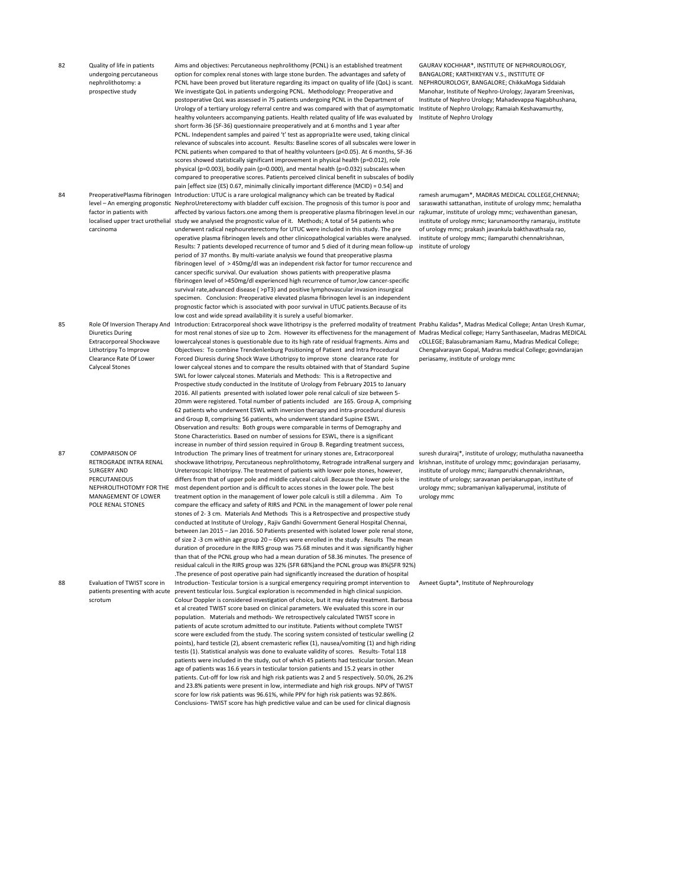82 Quality of life in patients undergoing percutaneous nephrolithotomy: a prospective study

- factor in natients with carcinoma
- Diuretics During Extracorporeal Shockwave Lithotripsy To Improve Clearance Rate Of Lower Calyceal Stones
- 87 COMPARISON OF RETROGRADE INTRA RENAL SURGERY AND PERCUTANEOUS NEPHROLITHOTOMY FOR THE MANAGEMENT OF LOWER POLE RENAL STONES

88 Evaluation of TWIST score in patients presenting with acute scrotum

Aims and objectives: Percutaneous nephrolithomy (PCNL) is an established treatment option for complex renal stones with large stone burden. The advantages and safety of PCNL have been proved but literature regarding its impact on quality of life (QoL) is scant. We investigate QoL in patients undergoing PCNL. Methodology: Preoperative and postoperative QoL was assessed in 75 patients undergoing PCNL in the Department of Urology of a tertiary urology referral centre and was compared with that of asymptomatic Institute of Nephro Urology; Ramaiah Keshavamurthy, healthy volunteers accompanying patients. Health related quality of life was evaluated by Institute of Nephro Urology short form-36 (SF-36) questionnaire preoperatively and at 6 months and 1 year after PCNL. Independent samples and paired 't' test as appropria1te were used, taking clinical relevance of subscales into account. Results: Baseline scores of all subscales were lower in PCNL patients when compared to that of healthy volunteers (p<0.05). At 6 months, SF-36 scores showed statistically significant improvement in physical health (p=0.012), role physical (p=0.003), bodily pain (p=0.000), and mental health (p=0.032) subscales when compared to preoperative scores. Patients perceived clinical benefit in subscales of bodily pain [effect size (ES) 0.67, minimally clinically important difference (MCID) = 0.54] and 84 PreoperativePlasma fibrinogen Introduction: UTUC is a rare urological malignancy which can be treated by Radical level – An emerging progonstic NephroUreterectomy with bladder cuff excision. The prognosis of this tumor is poor and localised upper tract urothelial study we analysed the prognostic value of it. Methods; A total of 54 patients who affected by various factors.one among them is preoperative plasma fibrinogen level.in our underwent radical nephoureterectomy for UTUC were included in this study. The pre operative plasma fibrinogen levels and other clinicopathological variables were analysed. Results: 7 patients developed recurrence of tumor and 5 died of it during mean follow-up institute of urology period of 37 months. By multi-variate analysis we found that preoperative plasma fibrinogen level of > 450mg/dl was an independent risk factor for tumor reccurence and cancer specific survival. Our evaluation shows patients with preoperative plasma fibrinogen level of >450mg/dl experienced high recurrence of tumor,low cancer-specific survival rate,advanced disease ( >pT3) and positive lymphovascular invasion insurgical specimen. Conclusion: Preoperative elevated plasma fibrinogen level is an independent prognostic factor which is associated with poor survival in UTUC patients.Because of its low cost and wide spread availability it is surely a useful biomarker.

85 Role Of Inversion Therapy And Introduction: Extracorporeal shock wave lithotripsy is the preferred modality of treatment Prabhu Kalidas\*, Madras Medical College; Antan Uresh Kumar, for most renal stones of size up to 2cm. However its effectiveness for the management of Madras Medical college; Harry Santhaseelan, Madras MEDICAL lowercalyceal stones is questionable due to its high rate of residual fragments. Aims and Objectives: To combine Trendenlenburg Positioning of Patient and Intra Procedural Forced Diuresis during Shock Wave Lithotripsy to improve stone clearance rate for lower calyceal stones and to compare the results obtained with that of Standard Supine SWL for lower calyceal stones. Materials and Methods: This is a Retropective and Prospective study conducted in the Institute of Urology from February 2015 to January 2016. All patients presented with isolated lower pole renal calculi of size between 5- 20mm were registered. Total number of patients included are 165. Group A, comprising 62 patients who underwent ESWL with inversion therapy and intra-procedural diuresis and Group B, comprising 56 patients, who underwent standard Supine ESWL. Observation and results: Both groups were comparable in terms of Demography and Stone Characteristics. Based on number of sessions for ESWL, there is a significant increase in number of third session required in Group B. Regarding treatment success, Introduction The primary lines of treatment for urinary stones are, Extracorporeal shockwave lithotripsy, Percutaneous nephrolithotomy, Retrograde intraRenal surgery and Ureteroscopic lithotripsy. The treatment of patients with lower pole stones, however, differs from that of upper pole and middle calyceal calculi .Because the lower pole is the most dependent portion and is difficult to acces stones in the lower pole. The best treatment option in the management of lower pole calculi is still a dilemma . Aim To compare the efficacy and safety of RIRS and PCNL in the management of lower pole renal stones of 2- 3 cm. Materials And Methods This is a Retrospective and prospective study conducted at Institute of Urology , Rajiv Gandhi Government General Hospital Chennai, between Jan 2015 – Jan 2016. 50 Patients presented with isolated lower pole renal stone, of size 2 -3 cm within age group 20 – 60yrs were enrolled in the study . Results The mean duration of procedure in the RIRS group was 75.68 minutes and it was significantly higher than that of the PCNL group who had a mean duration of 58.36 minutes. The presence of residual calculi in the RIRS group was 32% (SFR 68%)and the PCNL group was 8%(SFR 92%) .The presence of post operative pain had significantly increased the duration of hospital Introduction- Testicular torsion is a surgical emergency requiring prompt intervention to prevent testicular loss. Surgical exploration is recommended in high clinical suspicion. Colour Doppler is considered investigation of choice, but it may delay treatment. Barbosa et al created TWIST score based on clinical parameters. We evaluated this score in our population. Materials and methods- We retrospectively calculated TWIST score in patients of acute scrotum admitted to our institute. Patients without complete TWIST score were excluded from the study. The scoring system consisted of testicular swelling (2 points), hard testicle (2), absent cremasteric reflex (1), nausea/vomiting (1) and high riding testis (1). Statistical analysis was done to evaluate validity of scores. Results- Total 118 patients were included in the study, out of which 45 patients had testicular torsion. Mean age of patients was 16.6 years in testicular torsion patients and 15.2 years in other patients. Cut-off for low risk and high risk patients was 2 and 5 respectively. 50.0%, 26.2% and 23.8% patients were present in low, intermediate and high risk groups. NPV of TWIST score for low risk patients was 96.61%, while PPV for high risk patients was 92.86%. Conclusions- TWIST score has high predictive value and can be used for clinical diagnosis

GAURAV KOCHHAR\*, INSTITUTE OF NEPHROUROLOGY, BANGALORE; KARTHIKEYAN V.S., INSTITUTE OF NEPHROUROLOGY, BANGALORE; ChikkaMoga Siddaiah Manohar, Institute of Nephro-Urology; Jayaram Sreenivas, Institute of Nephro Urology; Mahadevappa Nagabhushana,

ramesh arumugam\*, MADRAS MEDICAL COLLEGE,CHENNAI; saraswathi sattanathan, institute of urology mmc; hemalatha rajkumar, institute of urology mmc; vezhaventhan ganesan, institute of urology mmc; karunamoorthy ramaraju, institute of urology mmc; prakash javankula bakthavathsala rao, institute of urology mmc; ilamparuthi chennakrishnan,

cOLLEGE; Balasubramaniam Ramu, Madras Medical College; Chengalvarayan Gopal, Madras medical College; govindarajan periasamy, institute of urology mmc

suresh durairaj\*, institute of urology; muthulatha navaneetha krishnan, institute of urology mmc; govindarajan periasamy, institute of urology mmc; ilamparuthi chennakrishnan, institute of urology; saravanan periakaruppan, institute of urology mmc; subramaniyan kaliyaperumal, institute of urology mmc

Avneet Gupta\*, Institute of Nephrourology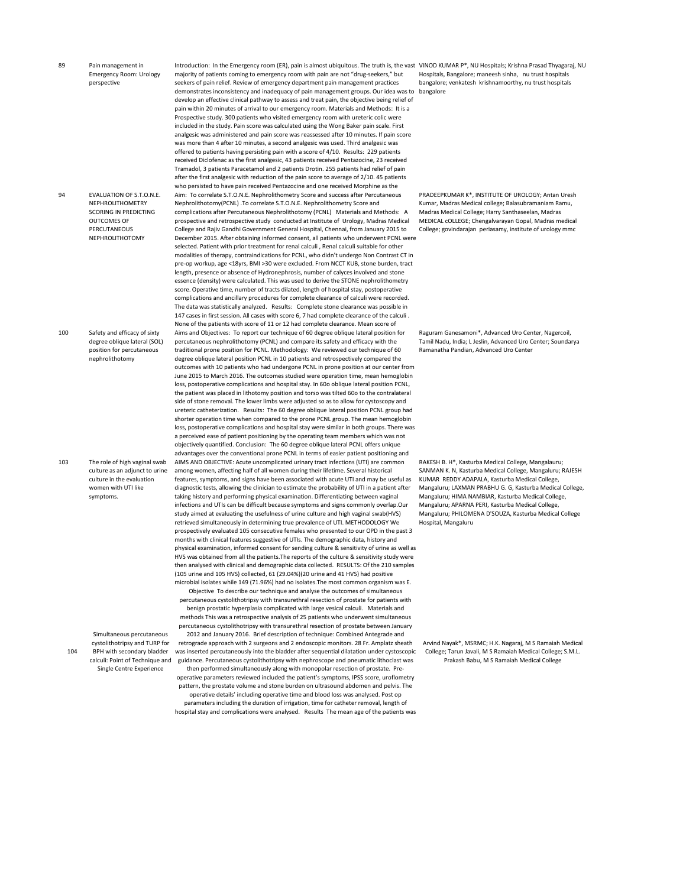89 Pain management in Emergency Room: Urology perspective

- 94 EVALUATION OF S.T.O.N.E. NEPHROLITHOMETRY SCORING IN PREDICTING OUTCOMES OF **PERCUTANEOUS** NEPHROLITHOTOMY
- 100 Safety and efficacy of sixty degree oblique lateral (SOL) position for percutaneous nephrolithotomy

103 The role of high vaginal swab culture as an adjunct to urine culture in the evaluation women with UTI like symptoms.

104 Simultaneous percutaneous cystolithotripsy and TURP for BPH with secondary bladder calculi: Point of Technique and Single Centre Experience

Introduction: In the Emergency room (ER), pain is almost ubiquitous. The truth is, the vast VINOD KUMAR P\*, NU Hospitals; Krishna Prasad Thyagaraj, NU majority of patients coming to emergency room with pain are not "drug-seekers," but seekers of pain relief. Review of emergency department pain management practices demonstrates inconsistency and inadequacy of pain management groups. Our idea was to bangalore develop an effective clinical pathway to assess and treat pain, the objective being relief of pain within 20 minutes of arrival to our emergency room. Materials and Methods: It is a Prospective study. 300 patients who visited emergency room with ureteric colic were included in the study. Pain score was calculated using the Wong Baker pain scale. First analgesic was administered and pain score was reassessed after 10 minutes. If pain score was more than 4 after 10 minutes, a second analgesic was used. Third analgesic was offered to patients having persisting pain with a score of 4/10. Results: 229 patients received Diclofenac as the first analgesic, 43 patients received Pentazocine, 23 received Tramadol, 3 patients Paracetamol and 2 patients Drotin. 255 patients had relief of pain after the first analgesic with reduction of the pain score to average of 2/10. 45 patients who persisted to have pain received Pentazocine and one received Morphine as the Aim: To correlate S.T.O.N.E. Nephrolithometry Score and success after Percutaneous Nephrolithotomy(PCNL) .To correlate S.T.O.N.E. Nephrolithometry Score and complications after Percutaneous Nephrolithotomy (PCNL) Materials and Methods: A prospective and retrospective study conducted at Institute of Urology, Madras Medical College and Rajiv Gandhi Government General Hospital, Chennai, from January 2015 to December 2015. After obtaining informed consent, all patients who underwent PCNL were selected. Patient with prior treatment for renal calculi , Renal calculi suitable for other modalities of therapy, contraindications for PCNL, who didn't undergo Non Contrast CT in pre-op workup, age <18yrs, BMI >30 were excluded. From NCCT KUB, stone burden, tract length, presence or absence of Hydronephrosis, number of calyces involved and stone essence (density) were calculated. This was used to derive the STONE nephrolithometry score. Operative time, number of tracts dilated, length of hospital stay, postoperative complications and ancillary procedures for complete clearance of calculi were recorded. The data was statistically analyzed. Results: Complete stone clearance was possible in 147 cases in first session. All cases with score 6, 7 had complete clearance of the calculi . None of the patients with score of 11 or 12 had complete clearance. Mean score of Aims and Objectives: To report our technique of 60 degree oblique lateral position for percutaneous nephrolithotomy (PCNL) and compare its safety and efficacy with the traditional prone position for PCNL. Methodology: We reviewed our technique of 60 degree oblique lateral position PCNL in 10 patients and retrospectively compared the outcomes with 10 patients who had undergone PCNL in prone position at our center from June 2015 to March 2016. The outcomes studied were operation time, mean hemoglobin loss, postoperative complications and hospital stay. In 60o oblique lateral position PCNL, the patient was placed in lithotomy position and torso was tilted 60o to the contralateral side of stone removal. The lower limbs were adjusted so as to allow for cystoscopy and ureteric catheterization. Results: The 60 degree oblique lateral position PCNL group had shorter operation time when compared to the prone PCNL group. The mean hemoglobin loss, postoperative complications and hospital stay were similar in both groups. There was a perceived ease of patient positioning by the operating team members which was not objectively quantified. Conclusion: The 60 degree oblique lateral PCNL offers unique advantages over the conventional prone PCNL in terms of easier patient positioning and AIMS AND OBJECTIVE: Acute uncomplicated urinary tract infections (UTI) are common among women, affecting half of all women during their lifetime. Several historical features, symptoms, and signs have been associated with acute UTI and may be useful as diagnostic tests, allowing the clinician to estimate the probability of UTI in a patient after taking history and performing physical examination. Differentiating between vaginal infections and UTIs can be difficult because symptoms and signs commonly overlap.Our study aimed at evaluating the usefulness of urine culture and high vaginal swab(HVS) retrieved simultaneously in determining true prevalence of UTI. METHODOLOGY We prospectively evaluated 105 consecutive females who presented to our OPD in the past 3 months with clinical features suggestive of UTIs. The demographic data, history and physical examination, informed consent for sending culture & sensitivity of urine as well as HVS was obtained from all the patients.The reports of the culture & sensitivity study were then analysed with clinical and demographic data collected. RESULTS: Of the 210 samples (105 urine and 105 HVS) collected, 61 (29.04%)(20 urine and 41 HVS) had positive

microbial isolates while 149 (71.96%) had no isolates.The most common organism was E. Objective To describe our technique and analyse the outcomes of simultaneous percutaneous cystolithotripsy with transurethral resection of prostate for patients with benign prostatic hyperplasia complicated with large vesical calculi. Materials and

methods This was a retrospective analysis of 25 patients who underwent simultaneous percutaneous cystolithotripsy with transurethral resection of prostate between January 2012 and January 2016. Brief description of technique: Combined Antegrade and retrograde approach with 2 surgeons and 2 endoscopic monitors. 28 Fr. Amplatz sheath was inserted percutaneously into the bladder after sequential dilatation under cystoscopic guidance. Percutaneous cystolithotripsy with nephroscope and pneumatic lithoclast was then performed simultaneously along with monopolar resection of prostate. Pre-

operative parameters reviewed included the patient's symptoms, IPSS score, uroflometry pattern, the prostate volume and stone burden on ultrasound abdomen and pelvis. The operative details' including operative time and blood loss was analysed. Post op parameters including the duration of irrigation, time for catheter removal, length of hospital stay and complications were analysed. Results The mean age of the patients was

Hospitals, Bangalore; maneesh sinha, nu trust hospitals bangalore; venkatesh krishnamoorthy, nu trust hospitals

PRADEEPKUMAR K\*, INSTITUTE OF UROLOGY; Antan Uresh Kumar, Madras Medical college; Balasubramaniam Ramu, Madras Medical College; Harry Santhaseelan, Madras MEDICAL cOLLEGE; Chengalvarayan Gopal, Madras medical College; govindarajan periasamy, institute of urology mmc

Raguram Ganesamoni\*, Advanced Uro Center, Nagercoil, Tamil Nadu, India; L Jeslin, Advanced Uro Center; Soundarya Ramanatha Pandian, Advanced Uro Center

RAKESH B. H\*, Kasturba Medical College, Mangalauru; SANMAN K. N, Kasturba Medical College, Mangaluru; RAJESH KUMAR REDDY ADAPALA, Kasturba Medical College, Mangaluru; LAXMAN PRABHU G. G, Kasturba Medical College, Mangaluru; HIMA NAMBIAR, Kasturba Medical College, Mangaluru; APARNA PERI, Kasturba Medical College, Mangaluru; PHILOMENA D'SOUZA, Kasturba Medical College Hospital, Mangaluru

Arvind Nayak\*, MSRMC; H.K. Nagaraj, M S Ramaiah Medical College; Tarun Javali, M S Ramaiah Medical College; S.M.L. Prakash Babu, M S Ramaiah Medical College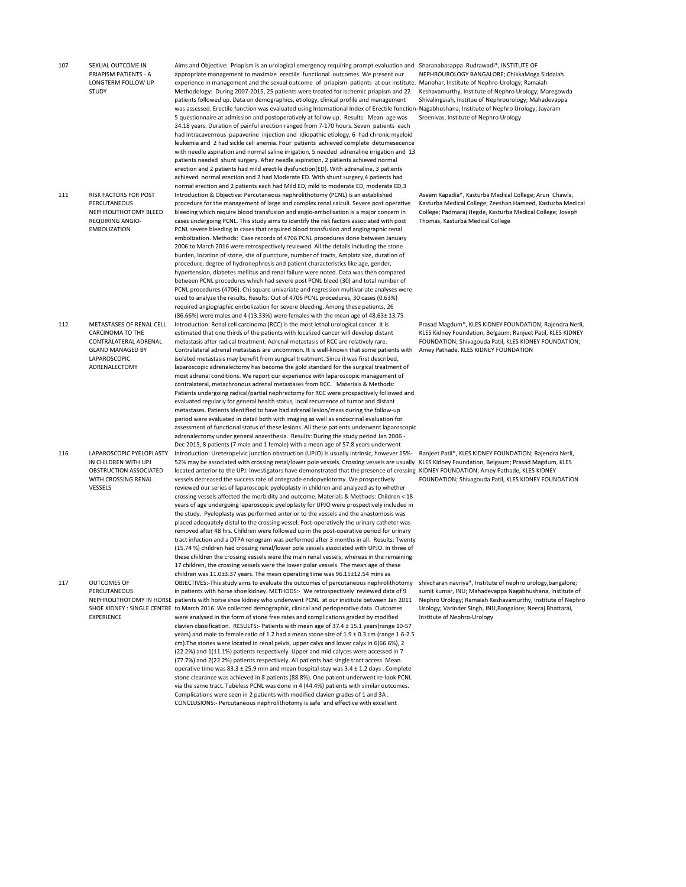107 SEXUAL OUTCOME IN PRIAPISM PATIENTS - A LONGTERM FOLLOW UP STUDY

- 111 RISK FACTORS FOR POST **PERCUTANEOUS** NEPHROLITHOTOMY BLEED REQUIRING ANGIO-EMBOLIZATION
- 112 METASTASES OF RENAL CELL CARCINOMA TO THE CONTRALATERAL ADRENAL GLAND MANAGED BY LAPAROSCOPIC ADRENALECTOMY
- 116 LAPAROSCOPIC PYELOPLASTY IN CHILDREN WITH UPJ OBSTRUCTION ASSOCIATED WITH CROSSING RENAL VESSELS

117 OUTCOMES OF PERCUTANEOUS **EXPERIENCE** 

Aims and Objective: Priapism is an urological emergency requiring prompt evaluation and Sharanabasappa Rudrawadi\*, INSTITUTE OF appropriate management to maximize erectile functional outcomes. We present our experience in management and the sexual outcome of priapism patients at our institute. Manohar, Institute of Nephro-Urology; Ramaiah Methodology: During 2007-2015, 25 patients were treated for ischemic priapism and 22 Keshavamurthy, Institute of Nephro Urology; Maregowda patients followed up. Data on demographics, etiology, clinical profile and management was assessed. Erectile function was evaluated using International Index of Erectile function-Nagabhushana, Institute of Nephro Urology; Jayaram 5 questionnaire at admission and postoperatively at follow up. Results: Mean age was 34.18 years. Duration of painful erection ranged from 7-170 hours. Seven patients each had intracavernous papaverine injection and idiopathic etiology, 6 had chronic myeloid leukemia and 2 had sickle cell anemia. Four patients achieved complete detumesecence with needle aspiration and normal saline irrigation, 5 needed adrenaline irrigation and 13 patients needed shunt surgery. After needle aspiration, 2 patients achieved normal erection and 2 patients had mild erectile dysfunction(ED). With adrenaline, 3 patients achieved normal erection and 2 had Moderate ED. With shunt surgery,4 patients had normal erection and 2 patients each had Mild ED, mild to moderate ED, moderate ED,3 Introduction & Objective: Percutaneous nephrolithotomy (PCNL) is an established procedure for the management of large and complex renal calculi. Severe post operative bleeding which require blood transfusion and angio-embolisation is a major concern in cases undergoing PCNL. This study aims to identify the risk factors associated with post PCNL severe bleeding in cases that required blood transfusion and angiographic renal embolization. Methods: Case records of 4706 PCNL procedures done between January 2006 to March 2016 were retrospectively reviewed. All the details including the stone burden, location of stone, site of puncture, number of tracts, Amplatz size, duration of procedure, degree of hydronephrosis and patient characteristics like age, gender, hypertension, diabetes mellitus and renal failure were noted. Data was then compared between PCNL procedures which had severe post PCNL bleed (30) and total number of PCNL procedures (4706). Chi square univariate and regression multivariate analyses were used to analyze the results. Results: Out of 4706 PCNL procedures, 30 cases (0.63%) required angiographic embolization for severe bleeding. Among these patients, 26 (86.66%) were males and 4 (13.33%) were females with the mean age of 48.63± 13.75 Introduction: Renal cell carcinoma (RCC) is the most lethal urological cancer. It is estimated that one thirds of the patients with localized cancer will develop distant metastasis after radical treatment. Adrenal metastasis of RCC are relatively rare. Contralateral adrenal metastasis are uncommon. It is well-known that some patients with isolated metastasis may benefit from surgical treatment. Since it was first described, laparoscopic adrenalectomy has become the gold standard for the surgical treatment of most adrenal conditions. We report our experience with laparoscopic management of contralateral, metachronous adrenal metastases from RCC. Materials & Methods: Patients undergoing radical/partial nephrectomy for RCC were prospectively followed and evaluated regularly for general health status, local recurrence of tumor and distant metastases. Patients identified to have had adrenal lesion/mass during the follow-up period were evaluated in detail both with imaging as well as endocrinal evaluation for assessment of functional status of these lesions. All these patients underwent laparoscopic adrenalectomy under general anaesthesia. Results: During the study period Jan 2006 Dec 2015, 8 patients (7 male and 1 female) with a mean age of 57.8 years underwent Introduction: Ureteropelvic junction obstruction (UPJO) is usually intrinsic, however 15%- Ranjeet Patil\*, KLES KIDNEY FOUNDATION; Rajendra Nerli, 52% may be associated with crossing renal/lower pole vessels. Crossing vessels are usually KLES Kidney Foundation, Belgaum; Prasad Magdum, KLES located anterior to the UPJ. Investigators have demonstrated that the presence of crossing KIDNEY FOUNDATION; Amey Pathade, KLES KIDNEY vessels decreased the success rate of antegrade endopyelotomy. We prospectively reviewed our series of laparoscopic pyeloplasty in children and analyzed as to whether crossing vessels affected the morbidity and outcome. Materials & Methods: Children < 18 years of age undergoing laparoscopic pyeloplasty for UPJO were prospectively included in the study. Pyeloplasty was performed anterior to the vessels and the anastomosis was placed adequately distal to the crossing vessel. Post-operatively the urinary catheter was removed after 48 hrs. Children were followed up in the post-operative period for urinary tract infection and a DTPA renogram was performed after 3 months in all. Results: Twenty (15.74 %) children had crossing renal/lower pole vessels associated with UPJO. In three of these children the crossing vessels were the main renal vessels, whereas in the remaining 17 children, the crossing vessels were the lower polar vessels. The mean age of these children was 11.0±3.37 years. The mean operating time was 96.15±12.54 mins as OBJECTIVES:-This study aims to evaluate the outcomes of percutaneous nephrolithotomy shivcharan navriya\*, Institute of nephro urology,bangalore; NEPHROLITHOTOMY IN HORSE patients with horse shoe kidney who underwent PCNL at our institute between Jan 2011 SHOE KIDNEY : SINGLE CENTRE to March 2016. We collected demographic, clinical and perioperative data. Outcomes in patients with horse shoe kidney. METHODS:- We retrospectively reviewed data of 9 were analysed in the form of stone free rates and complications graded by modified clavien classification. RESULTS:- Patients with mean age of 37.4 ± 15.1 years(range 10-57 years) and male to female ratio of 1.2 had a mean stone size of 1.9 ± 0.3 cm (range 1.6-2.5 cm).The stones were located in renal pelvis, upper calyx and lower calyx in 6(66.6%), 2 (22.2%) and 1(11.1%) patients respectively. Upper and mid calyces were accessed in 7 (77.7%) and 2(22.2%) patients respectively. All patients had single tract access. Mean operative time was  $83.3 \pm 25.9$  min and mean hospital stay was  $3.4 \pm 1.2$  days . Complete stone clearance was achieved in 8 patients (88.8%). One patient underwent re-look PCNL via the same tract. Tubeless PCNL was done in 4 (44.4%) patients with similar outcom Complications were seen in 2 patients with modified clavien grades of 1 and 3A . CONCLUSIONS:- Percutaneous nephrolithotomy is safe and effective with excellent

NEPHROUROLOGY BANGALORE; ChikkaMoga Siddaiah Shivalingaiah, Institue of Nephrourology; Mahadevappa Sreenivas, Institute of Nephro Urology

Aseem Kapadia\*, Kasturba Medical College; Arun Chawla, Kasturba Medical College; Zeeshan Hameed, Kasturba Medical College; Padmaraj Hegde, Kasturba Medical College; Joseph Thomas, Kasturba Medical College

Prasad Magdum\*, KLES KIDNEY FOUNDATION; Rajendra Nerli, KLES Kidney Foundation, Belgaum; Ranjeet Patil, KLES KIDNEY FOUNDATION; Shivagouda Patil, KLES KIDNEY FOUNDATION; Amey Pathade, KLES KIDNEY FOUNDATION

FOUNDATION; Shivagouda Patil, KLES KIDNEY FOUNDATION

sumit kumar, INU; Mahadevappa Nagabhushana, Institute of Nephro Urology; Ramaiah Keshavamurthy, Institute of Nephro Urology; Varinder Singh, INU,Bangalore; Neeraj Bhattarai, Institute of Nephro-Urology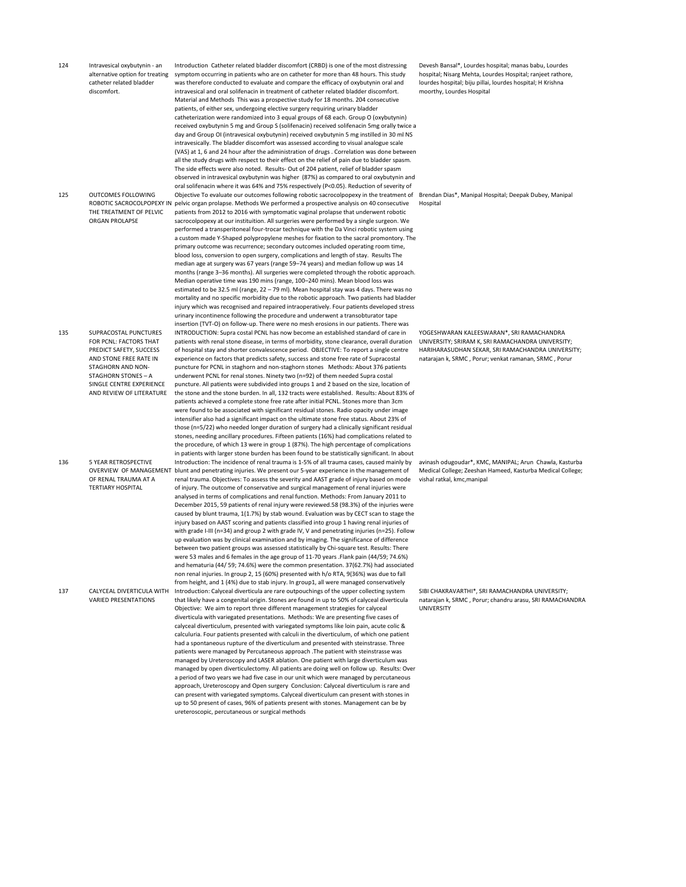124 Intravesical oxybutynin - an alternative option for treating catheter related bladder discomfort.

125 OUTCOMES FOLLOWING THE TREATMENT OF RELVIC ORGAN PROLAPSE

- 135 SUPRACOSTAL PUNCTURES FOR PCNL: FACTORS THAT PREDICT SAFETY, SUCCESS AND STONE FREE RATE IN STAGHORN AND NON-STAGHORN STONES – A SINGLE CENTRE EXPERIENCE AND REVIEW OF LITERATURE
- 136 5 YEAR RETROSPECTIVE OF RENAL TRAUMA AT A TERTIARY HOSPITAL

137 CALYCEAL DIVERTICULA WITH VARIED PRESENTATIONS

Introduction Catheter related bladder discomfort (CRBD) is one of the most distressing symptom occurring in patients who are on catheter for more than 48 hours. This study was therefore conducted to evaluate and compare the efficacy of oxybutynin oral and intravesical and oral solifenacin in treatment of catheter related bladder discomfort. Material and Methods This was a prospective study for 18 months. 204 consecutive patients, of either sex, undergoing elective surgery requiring urinary bladder catheterization were randomized into 3 equal groups of 68 each. Group O (oxybutynin) received oxybutynin 5 mg and Group S (solifenacin) received solifenacin 5mg orally twice a day and Group OI (intravesical oxybutynin) received oxybutynin 5 mg instilled in 30 ml NS intravesically. The bladder discomfort was assessed according to visual analogue scale (VAS) at 1, 6 and 24 hour after the administration of drugs . Correlation was done between all the study drugs with respect to their effect on the relief of pain due to bladder spasm. The side effects were also noted. Results- Out of 204 patient, relief of bladder spasm observed in intravesical oxybutynin was higher (87%) as compared to oral oxybutynin and oral solifenacin where it was 64% and 75% respectively (P<0.05). Reduction of severity of Objective To evaluate our outcomes following robotic sacrocolpopexy in the treatment of ROBOTIC SACROCOLPOPEXY IN pelvic organ prolapse. Methods We performed a prospective analysis on 40 consecutive patients from 2012 to 2016 with symptomatic vaginal prolapse that underwent robotic sacrocolpopexy at our instituition. All surgeries were performed by a single surgeon. We performed a transperitoneal four-trocar technique with the Da Vinci robotic system using a custom made Y-Shaped polypropylene meshes for fixation to the sacral promontory. The primary outcome was recurrence; secondary outcomes included operating room time, blood loss, conversion to open surgery, complications and length of stay. Results The median age at surgery was 67 years (range 59–74 years) and median follow up was 14 months (range 3–36 months). All surgeries were completed through the robotic approach. Median operative time was 190 mins (range, 100–240 mins). Mean blood loss was estimated to be 32.5 ml (range, 22 – 79 ml). Mean hospital stay was 4 days. There was no mortality and no specific morbidity due to the robotic approach. Two patients had bladder injury which was recognised and repaired intraoperatively. Four patients developed stress urinary incontinence following the procedure and underwent a transobturator tape insertion (TVT-O) on follow-up. There were no mesh erosions in our patients. There was INTRODUCTION: Supra costal PCNL has now become an established standard of care in patients with renal stone disease, in terms of morbidity, stone clearance, overall duration of hospital stay and shorter convalescence period. OBJECTIVE: To report a single centre experience on factors that predicts safety, success and stone free rate of Supracostal puncture for PCNL in staghorn and non-staghorn stones Methods: About 376 patients underwent PCNL for renal stones. Ninety two (n=92) of them needed Supra costal puncture. All patients were subdivided into groups 1 and 2 based on the size, location of the stone and the stone burden. In all, 132 tracts were established. Results: About 83% of patients achieved a complete stone free rate after initial PCNL. Stones more than 3cm were found to be associated with significant residual stones. Radio opacity under image intensifier also had a significant impact on the ultimate stone free status. About 23% of those (n=5/22) who needed longer duration of surgery had a clinically significant residual stones, needing ancillary procedures. Fifteen patients (16%) had complications related to the procedure, of which 13 were in group 1 (87%). The high percentage of complications in patients with larger stone burden has been found to be statistically significant. In about Introduction: The incidence of renal trauma is 1-5% of all trauma cases, caused mainly by OVERVIEW OF MANAGEMENT blunt and penetrating injuries. We present our 5-year experience in the management of renal trauma. Objectives: To assess the severity and AAST grade of injury based on mode of injury. The outcome of conservative and surgical management of renal injuries were analysed in terms of complications and renal function. Methods: From January 2011 to December 2015, 59 patients of renal injury were reviewed.58 (98.3%) of the injuries were caused by blunt trauma, 1(1.7%) by stab wound. Evaluation was by CECT scan to stage the injury based on AAST scoring and patients classified into group 1 having renal injuries of with grade I-III (n=34) and group 2 with grade IV, V and penetrating injuries (n=25). Follow up evaluation was by clinical examination and by imaging. The significance of difference between two patient groups was assessed statistically by Chi-square test. Results: There were 53 males and 6 females in the age group of 11-70 years .Flank pain (44/59; 74.6%) and hematuria (44/ 59; 74.6%) were the common presentation. 37(62.7%) had associated non renal injuries. In group 2, 15 (60%) presented with h/o RTA, 9(36%) was due to fall from height, and 1 (4%) due to stab injury. In group1, all were managed conservatively Introduction: Calyceal diverticula are rare outpouchings of the upper collecting system that likely have a congenital origin. Stones are found in up to 50% of calyceal diverticula Objective: We aim to report three different management strategies for calyceal diverticula with variegated presentations. Methods: We are presenting five cases of calyceal diverticulum, presented with variegated symptoms like loin pain, acute colic & calculuria. Four patients presented with calculi in the diverticulum, of which one patient had a spontaneous rupture of the diverticulum and presented with steinstrasse. Three patients were managed by Percutaneous approach .The patient with steinstrasse was managed by Ureteroscopy and LASER ablation. One patient with large diverticulum was managed by open diverticulectomy. All patients are doing well on follow up. Results: Over a period of two years we had five case in our unit which were managed by percutaneous approach, Ureteroscopy and Open surgery Conclusion: Calyceal diverticulum is rare and can present with variegated symptoms. Calyceal diverticulum can present with stones in up to 50 present of cases, 96% of patients present with stones. Management can be by ureteroscopic, percutaneous or surgical methods

Devesh Bansal\*, Lourdes hospital; manas babu, Lourdes hospital; Nisarg Mehta, Lourdes Hospital; ranjeet rathore, lourdes hospital; biju pillai, lourdes hospital; H Krishna moorthy, Lourdes Hospital

Brendan Dias\*, Manipal Hospital; Deepak Dubey, Manipal Hospital

YOGESHWARAN KALEESWARAN\*, SRI RAMACHANDRA UNIVERSITY; SRIRAM K, SRI RAMACHANDRA UNIVERSITY; HARIHARASUDHAN SEKAR, SRI RAMACHANDRA UNIVERSITY; natarajan k, SRMC , Porur; venkat ramanan, SRMC , Porur

avinash odugoudar\*, KMC, MANIPAL; Arun Chawla, Kasturba Medical College; Zeeshan Hameed, Kasturba Medical College; vishal ratkal, kmc,manipal

SIBI CHAKRAVARTHI\*, SRI RAMACHANDRA UNIVERSITY; natarajan k, SRMC , Porur; chandru arasu, SRI RAMACHANDRA **UNIVERSITY**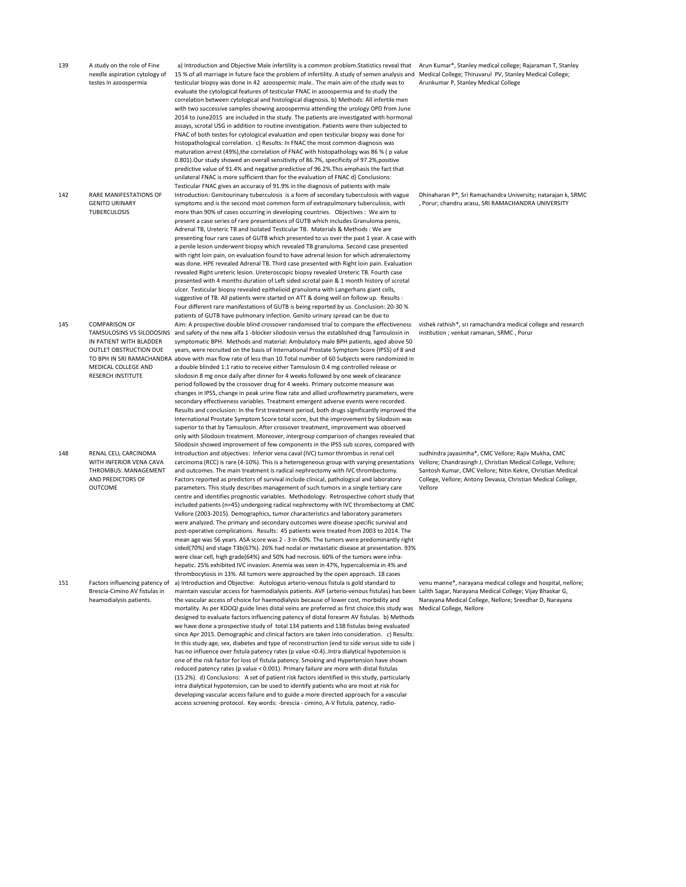139 A study on the role of Fine needle aspiration cytology of testes in azoospermia

142 RARE MANIFESTATIONS OF GENITO URINARY TUBERCULOSIS

- 145 COMPARISON OF IN PATIENT WITH BLADDER OUTLET OBSTRUCTION DUE MEDICAL COLLEGE AND RESERCH INSTITUTE
- 148 RENAL CELL CARCINOMA WITH INFERIOR VENA CAVA THROMBUS: MANAGEMENT AND PREDICTORS OF OUTCOME

Brescia-Cimino AV fistulas in heamodialysis patients.

 a) Introduction and Objective Male infertility is a common problem.Statistics reveal that Arun Kumar\*, Stanley medical college; Rajaraman T, Stanley 15 % of all marriage in future face the problem of infertility. A study of semen analysis and Medical College; Thiruvarul PV, Stanley Medical College; testicular biopsy was done in 42 azoospermic male.. The main aim of the study was to evaluate the cytological features of testicular FNAC in azoospermia and to study the correlation between cytological and histological diagnosis. b) Methods: All infertile men with two successive samples showing azoospermia attending the urology OPD from June 2014 to June2015 are included in the study. The patients are investigated with hormonal assays, scrotal USG in addition to routine investigation. Patients were then subjected to FNAC of both testes for cytological evaluation and open testicular biopsy was done for histopathological correlation. c) Results: In FNAC the most common diagnosis was maturation arrest (49%),the correlation of FNAC with histopathology was 86 % ( p value 0.801).Our study showed an overall sensitivity of 86.7%, specificity of 97.2%,positive predictive value of 91.4% and negative predictive of 96.2%.This emphasis the fact that unilateral FNAC is more sufficient than for the evaluation of FNAC d) Conclusions: Testicular FNAC gives an accuracy of 91.9% in the diagnosis of patients with male Introduction: Genitourinary tuberculosis is a form of secondary tuberculosis with vague symptoms and is the second most common form of extrapulmonary tuberculosis, with more than 90% of cases occurring in developing countries. Objectives : We aim to present a case series of rare presentations of GUTB which includes Granuloma penis, Adrenal TB, Ureteric TB and Isolated Testicular TB. Materials & Methods : We are presenting four rare cases of GUTB which presented to us over the past 1 year. A case with a penile lesion underwent biopsy which revealed TB granuloma. Second case presented with right loin pain, on evaluation found to have adrenal lesion for which adrenalectomy was done. HPE revealed Adrenal TB. Third case presented with Right loin pain. Evaluation revealed Right ureteric lesion. Ureteroscopic biopsy revealed Ureteric TB. Fourth case presented with 4 months duration of Left sided scrotal pain & 1 month history of scrotal ulcer. Testicular biopsy revealed epithelioid granuloma with Langerhans giant cells, suggestive of TB. All patients were started on ATT & doing well on follow up. Results : Four different rare manifestations of GUTB is being reported by us. Conclusion: 20-30 % patients of GUTB have pulmonary infection. Genito urinary spread can be due to Aim: A prospective double blind crossover randomised trial to compare the effectiveness vishek rathish\*, sri ramachandra medical college and research TAMSULOSINS VS SILODOSINS and safety of the new alfa 1 -blocker silodosin versus the established drug Tamsulosin in TO BPH IN SRI RAMACHANDRA above with max flow rate of less than 10.Total number of 60 Subjects were randomized in symptomatic BPH. Methods and material: Ambulatory male BPH patients, aged above 50 years, were recruited on the basis of International Prostate Symptom Score (IPSS) of 8 and a double blinded 1:1 ratio to receive either Tamsulosin 0.4 mg controlled release or silodosin 8 mg once daily after dinner for 4 weeks followed by one week of clearance period followed by the crossover drug for 4 weeks. Primary outcome measure was changes in IPSS, change in peak urine flow rate and allied uroflowmetry parameters, were secondary effectiveness variables. Treatment emergent adverse events were recorded. Results and conclusion: In the first treatment period, both drugs significantly improved the International Prostate Symptom Score total score, but the improvement by Silodosin was superior to that by Tamsulosin. After crossover treatment, improvement was observed only with Silodosin treatment. Moreover, intergroup comparison of changes revealed that Silodosin showed improvement of few components in the IPSS sub scores, compared with Introduction and objectives: Inferior vena caval (IVC) tumor thrombus in renal cell carcinoma (RCC) is rare (4-10%). This is a heterogeneous group with varying presentations and outcomes. The main treatment is radical nephrectomy with IVC thrombectomy. Factors reported as predictors of survival include clinical, pathological and laboratory parameters. This study describes management of such tumors in a single tertiary care centre and identifies prognostic variables. Methodology: Retrospective cohort study that included patients (n=45) undergoing radical nephrectomy with IVC thrombectomy at CMC Vellore (2003-2015). Demographics, tumor characteristics and laboratory parameters were analyzed. The primary and secondary outcomes were disease specific survival and post-operative complications. Results: 45 patients were treated from 2003 to 2014. The mean age was 56 years. ASA score was 2 - 3 in 60%. The tumors were predominantly right sided(70%) and stage T3b(67%). 26% had nodal or metastatic disease at presentation. 93% were clear cell, high grade(64%) and 50% had necrosis. 60% of the tumors were infrahepatic. 25% exhibited IVC invasion. Anemia was seen in 47%, hypercalcemia in 4% and thrombocytosis in 13%. All tumors were approached by the open approach. 18 cases 151 Factors influencing patency of a) Introduction and Objective: Autologus arterio-venous fistula is gold standard to maintain vascular access for haemodialysis patients. AVF (arterio-venous fistulas) has been the vascular access of choice for haemodialysis because of lower cost, morbidity and mortality. As per KDOQI guide lines distal veins are preferred as first choice.this study was designed to evaluate factors influencing patency of distal forearm AV fistulas. b) Methods we have done a prospective study of total 134 patients and 138 fistulas being evaluated since Apr 2015. Demographic and clinical factors are taken into consideration. c) Results: In this study age, sex, diabetes and type of reconstruction (end to side versus side to side ) has no influence over fistula patency rates (p value <0.4)..Intra dialytical hypotension is one of the risk factor for loss of fistula patency. Smoking and Hypertension have shown reduced patency rates (p value < 0.001). Primary failure are more with distal fistulas (15.2%). d) Conclusions: A set of patient risk factors identified in this study, particularly intra dialytical hypotension, can be used to identify patients who are most at risk for developing vascular access failure and to guide a more directed approach for a vascular access screening protocol. Key words: -brescia - cimino, A-V fistula, patency, radio-

Arunkumar P, Stanley Medical College

Dhinaharan P\*, Sri Ramachandra University; natarajan k, SRMC , Porur; chandru arasu, SRI RAMACHANDRA UNIVERSITY

institution ; venkat ramanan, SRMC , Porur

sudhindra jayasimha\*, CMC Vellore; Rajiv Mukha, CMC Vellore; Chandrasingh J, Christian Medical College, Vellore; Santosh Kumar, CMC Vellore; Nitin Kekre, Christian Medical College, Vellore; Antony Devasia, Christian Medical College, Vellore

venu manne\*, narayana medical college and hospital, nellore; Lalith Sagar, Narayana Medical College; Vijay Bhaskar G, Narayana Medical College, Nellore; Sreedhar D, Narayana Medical College, Nellore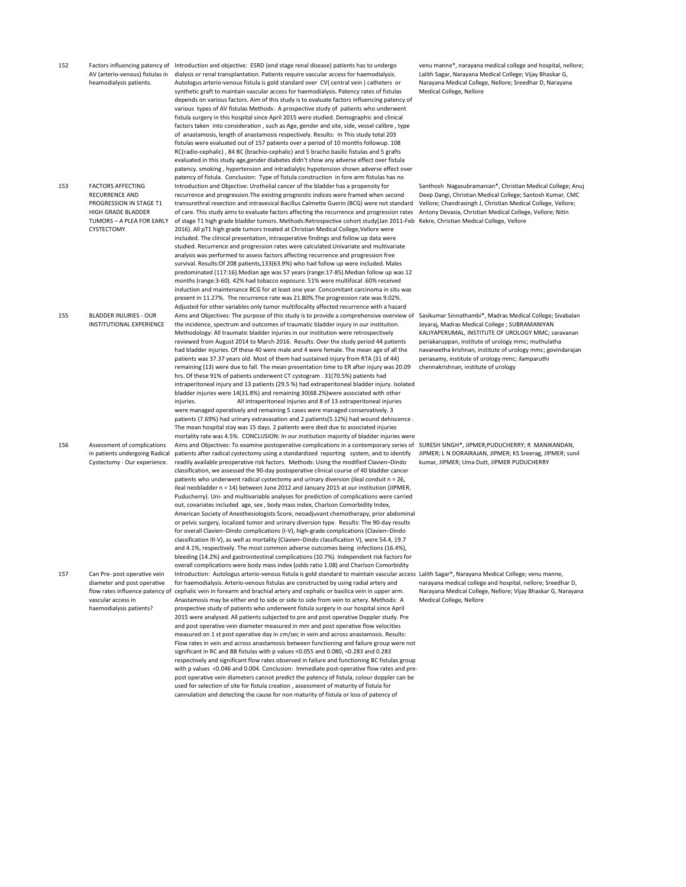| 152 | AV (arterio-venous) fistulas in<br>heamodialysis patients.                                                                             | Factors influencing patency of Introduction and objective: ESRD (end stage renal disease) patients has to undergo<br>dialysis or renal transplantation. Patients require vascular access for haemodialysis.<br>Autologus arterio-venous fistula is gold standard over CV( central vein) catheters or<br>synthetic graft to maintain vascular access for haemodialysis. Patency rates of fistulas<br>depends on various factors. Aim of this study is to evaluate factors influencing patency of<br>various types of AV fistulas Methods: A prospective study of patients who underwent<br>fistula surgery in this hospital since April 2015 were studied. Demographic and clinical<br>factors taken into consideration, such as Age, gender and site, side, vessel calibre, type<br>of anastamosis, length of anastamosis respectively. Results: In This study total 203<br>fistulas were evaluated out of 157 patients over a period of 10 months followup. 108<br>RC(radio-cephalic), 84 BC (brachio-cephalic) and 5 bracho basilic fistulas and 5 grafts<br>evaluated.in this study age, gender diabetes didn't show any adverse effect over fistula<br>patency. smoking, hypertension and intradialytic hypotension shown adverse effect over<br>patency of fistula. Conclusion: Type of fistula construction in fore arm fistulas has no                                                                                                                   |
|-----|----------------------------------------------------------------------------------------------------------------------------------------|-----------------------------------------------------------------------------------------------------------------------------------------------------------------------------------------------------------------------------------------------------------------------------------------------------------------------------------------------------------------------------------------------------------------------------------------------------------------------------------------------------------------------------------------------------------------------------------------------------------------------------------------------------------------------------------------------------------------------------------------------------------------------------------------------------------------------------------------------------------------------------------------------------------------------------------------------------------------------------------------------------------------------------------------------------------------------------------------------------------------------------------------------------------------------------------------------------------------------------------------------------------------------------------------------------------------------------------------------------------------------------------------------------------------------------------------------------------------|
| 153 | <b>FACTORS AFFECTING</b><br>RECURRENCE AND<br>PROGRESSION IN STAGE T1<br>HIGH GRADE BLADDER<br>TUMORS - A PLEA FOR EARLY<br>CYSTECTOMY | Introduction and Objective: Urothelial cancer of the bladder has a propensity for<br>recurrence and progression. The existing prognostic indices were framed when second<br>transurethral resection and intravesical Bacillus Calmette Guerin (BCG) were not standard<br>of care. This study aims to evaluate factors affecting the recurrence and progression rates<br>of stage T1 high grade bladder tumors. Methods: Retrospective cohort study(Jan 2011-Feb<br>2016). All pT1 high grade tumors treated at Christian Medical College, Vellore were<br>included. The clinical presentation, intraoperative findings and follow up data were<br>studied. Recurrence and progression rates were calculated. Univariate and multivariate<br>analysis was performed to assess factors affecting recurrence and progression free<br>survival. Results:Of 208 patients,133(63.9%) who had follow up were included. Males<br>predominated (117:16). Median age was 57 years (range: 17-85). Median follow up was 12<br>months (range: 3-60). 42% had tobacco exposure. 51% were multifocal .60% received<br>induction and maintenance BCG for at least one year. Concomitant carcinoma in situ was<br>present in 11.27%. The recurrence rate was 21.80%. The progression rate was 9.02%.                                                                                                                                                                            |
| 155 | <b>BLADDER INJURIES - OUR</b><br>INSTITUTIONAL EXPERIENCE                                                                              | Adjusted for other variables only tumor multifocality affected recurrence with a hazard<br>Aims and Objectives: The purpose of this study is to provide a comprehensive overview of<br>the incidence, spectrum and outcomes of traumatic bladder injury in our institution.<br>Methodology: All traumatic bladder injuries in our institution were retrospectively<br>reviewed from August 2014 to March 2016. Results: Over the study period 44 patients<br>had bladder injuries. Of these 40 were male and 4 were female. The mean age of all the<br>patients was 37.37 years old. Most of them had sustained injury from RTA (31 of 44)<br>remaining (13) were due to fall. The mean presentation time to ER after injury was 20.09<br>hrs. Of these 91% of patients underwent CT cystogram . 31(70.5%) patients had<br>intraperitoneal injury and 13 patients (29.5 %) had extraperitoneal bladder injury. Isolated<br>bladder injuries were 14(31.8%) and remaining 30(68.2%) were associated with other<br>All intraperitoneal injuries and 8 of 13 extraperitoneal injuries<br>injuries.<br>were managed operatively and remaining 5 cases were managed conservatively. 3<br>patients (7.69%) had urinary extravasation and 2 patients (5.12%) had wound dehiscence.<br>The mean hospital stay was 15 days. 2 patients were died due to associated injuries<br>mortality rate was 4.5%. CONCLUSION: In our institution majority of bladder injuries were |
| 156 | Assessment of complications<br>in patients undergoing Radical<br>Cystectomy - Our experience.                                          | Aims and Objectives: To examine postoperative complications in a contemporary series of<br>patients after radical cystectomy using a standardized reporting system, and to identify<br>readily available preoperative risk factors. Methods: Using the modified Clavien-Dindo<br>classification, we assessed the 90-day postoperative clinical course of 40 bladder cancer<br>patients who underwent radical cystectomy and urinary diversion (ileal conduit n = 26,<br>ileal neobladder n = 14) between June 2012 and January 2015 at our institution (JIPMER,<br>Puducherry). Uni- and multivariable analyses for prediction of complications were carried<br>out, covariates included age, sex, body mass index, Charlson Comorbidity Index,<br>American Society of Anesthesiologists Score, neoadjuvant chemotherapy, prior abdominal<br>or pelvic surgery, localized tumor and urinary diversion type. Results: The 90-day results<br>for overall Clavien-Dindo complications (I-V), high-grade complications (Clavien-Dindo<br>classification III-V), as well as mortality (Clavien-Dindo classification V), were 54.4, 19.7<br>and 4.1%, respectively. The most common adverse outcomes being infections (16.4%),<br>bleeding (14.2%) and gastrointestinal complications (10.7%). Independent risk factors for<br>overall complications were body mass index (odds ratio 1.08) and Charlson Comorbidity                                                  |
| 157 | Can Pre- post operative vein<br>diameter and post operative<br>vascular access in<br>haemodialysis patients?                           | Introduction: Autologus arterio-venous fistula is gold standard to maintain vascular access<br>for haemodialysis. Arterio-venous fistulas are constructed by using radial artery and<br>flow rates influence patency of cephalic vein in forearm and brachial artery and cephalic or basilica vein in upper arm.<br>Anastamosis may be either end to side or side to side from vein to artery. Methods: A<br>prospective study of patients who underwent fistula surgery in our hospital since April<br>2015 were analysed. All patients subjected to pre and post operative Doppler study. Pre<br>and post operative vein diameter measured in mm and post operative flow velocities<br>measured on 1 st post operative day in cm/sec in vein and across anastamosis. Results:<br>Flow rates in vein and across anastamosis between functioning and failure group were not<br>significant in RC and BB fistulas with p values <0.055 and 0.080, <0.283 and 0.283<br>respectively and significant flow rates observed in failure and functioning BC fistulas group<br>with p values <0.046 and 0.004. Conclusion: Immediate post-operative flow rates and pre-<br>post operative vein diameters cannot predict the patency of fistula, colour doppler can be<br>used for selection of site for fistula creation, assessment of maturity of fistula for<br>cannulation and detecting the cause for non maturity of fistula or loss of patency of                 |

venu manne\*, narayana medical college and hospital, nellore; Lalith Sagar, Narayana Medical College; Vijay Bhaskar G, Narayana Medical College, Nellore; Sreedhar D, Narayana Medical College, Nellore

Santhosh Nagasubramanian\*, Christian Medical College; Anuj Deep Dangi, Christian Medical College; Santosh Kumar, CMC Vellore; Chandrasingh J, Christian Medical College, Vellore; Antony Devasia, Christian Medical College, Vellore; Nitin Kekre, Christian Medical College, Vellore

Sasikumar Sinnathambi\*, Madras Medical College; Sivabalan Jeyaraj, Madras Medical College ; SUBRAMANIYAN KALIYAPERUMAL, INSTITUTE OF UROLOGY MMC; saravanan periakaruppan, institute of urology mmc; muthulatha navaneetha krishnan, institute of urology mmc; govindarajan periasamy, institute of urology mmc; ilamparuthi chennakrishnan, institute of urology

SURESH SINGH\*, JIPMER;PUDUCHERRY; R MANIKANDAN, JIPMER; L N DORAIRAJAN, JIPMER; KS Sreerag, JIPMER; sunil kumar, JIPMER; Uma Dutt, JIPMER PUDUCHERRY

Lalith Sagar\*, Narayana Medical College; venu manne, narayana medical college and hospital, nellore; Sreedhar D, Narayana Medical College, Nellore; Vijay Bhaskar G, Narayana Medical College, Nellore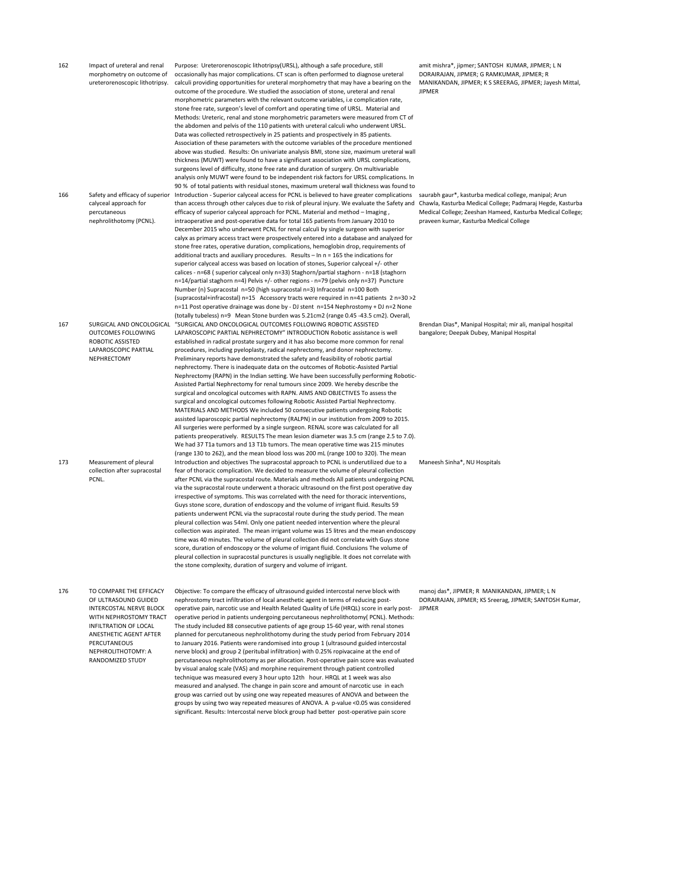162 Impact of ureteral and renal morphometry on outcome of ureterorenoscopic lithotripsy. Purpose: Ureterorenoscopic lithotripsy(URSL), although a safe procedure, still occasionally has major complications. CT scan is often performed to diagnose ureteral calculi providing opportunities for ureteral morphometry that may have a bearing on the outcome of the procedure. We studied the association of stone, ureteral and renal morphometric parameters with the relevant outcome variables, i.e complication rate, stone free rate, surgeon's level of comfort and operating time of URSL. Material and Methods: Ureteric, renal and stone morphometric parameters were measured from CT of the abdomen and pelvis of the 110 patients with ureteral calculi who underwent URSL. Data was collected retrospectively in 25 patients and prospectively in 85 patients. Association of these parameters with the outcome variables of the procedure mentioned above was studied. Results: On univariate analysis BMI, stone size, maximum ureteral wall thickness (MUWT) were found to have a significant association with URSL complications, surgeons level of difficulty, stone free rate and duration of surgery. On multivariable analysis only MUWT were found to be independent risk factors for URSL complications. In 90 % of total patients with residual stones, maximum ureteral wall thickness was found to Introduction - Superior calyceal access for PCNL is believed to have greater complications JIPMER 166 Safety and efficacy of superior calyceal approach for percutaneous nephrolithotomy (PCNL). than access through other calyces due to risk of pleural injury. We evaluate the Safety and Chawla, Kasturba Medical College; Padmaraj Hegde, Kasturba efficacy of superior calyceal approach for PCNL. Material and method – Imaging intraoperative and post-operative data for total 165 patients from January 2010 to December 2015 who underwent PCNL for renal calculi by single surgeon with superior calyx as primary access tract were prospectively entered into a database and analyzed for stone free rates, operative duration, complications, hemoglobin drop, requirements of additional tracts and auxiliary procedures. Results – In n = 165 the indications for superior calyceal access was based on location of stones, Superior calyceal +/- other calices - n=68 ( superior calyceal only n=33) Staghorn/partial staghorn - n=18 (staghorn n=14/partial staghorn n=4) Pelvis +/- other regions - n=79 (pelvis only n=37) Puncture Number (n) Supracostal n=50 (high supracostal n=3) Infracostal n=100 Both (supracostal+infracostal) n=15 Accessory tracts were required in n=41 patients 2 n=30 >2 n=11 Post operative drainage was done by - DJ stent n=154 Nephrostomy + DJ n=2 None (totally tubeless) n=9 Mean Stone burden was 5.21cm2 (range 0.45 -43.5 cm2). Overall, "SURGICAL AND ONCOLOGICAL OUTCOMES FOLLOWING ROBOTIC ASSISTED 167 SURGICAL AND ONCOLOGICAL OUTCOMES FOLLOWING ROBOTIC ASSISTED LAPAROSCOPIC PARTIAL NEPHRECTOMY LAPAROSCOPIC PARTIAL NEPHRECTOMY" INTRODUCTION Robotic assistance is well established in radical prostate surgery and it has also become more common for renal procedures, including pyeloplasty, radical nephrectomy, and donor nephrectomy. Preliminary reports have demonstrated the safety and feasibility of robotic partial nephrectomy. There is inadequate data on the outcomes of Robotic-Assisted Partial Nephrectomy (RAPN) in the Indian setting. We have been successfully performing Robotic-Assisted Partial Nephrectomy for renal tumours since 2009. We hereby describe the surgical and oncological outcomes with RAPN. AIMS AND OBJECTIVES To assess the surgical and oncological outcomes following Robotic Assisted Partial Nephrectomy. MATERIALS AND METHODS We included 50 consecutive patients undergoing Robotic assisted laparoscopic partial nephrectomy (RALPN) in our institution from 2009 to 2015. All surgeries were performed by a single surgeon. RENAL score was calculated for all patients preoperatively. RESULTS The mean lesion diameter was 3.5 cm (range 2.5 to 7.0). We had 37 T1a tumors and 13 T1b tumors. The mean operative time was 215 minutes (range 130 to 262), and the mean blood loss was 200 mL (range 100 to 320). The mean Introduction and objectives The supracostal approach to PCNL is underutilized due to a 173 Measurement of pleural collection after supracostal PCNL. fear of thoracic complication. We decided to measure the volume of pleural collection after PCNL via the supracostal route. Materials and methods All patients undergoing PCNL via the supracostal route underwent a thoracic ultrasound on the first post operative day irrespective of symptoms. This was correlated with the need for thoracic interventions, Guys stone score, duration of endoscopy and the volume of irrigant fluid. Results 59 patients underwent PCNL via the supracostal route during the study period. The mean pleural collection was 54ml. Only one patient needed intervention where the pleural collection was aspirated. The mean irrigant volume was 15 litres and the mean endoscopy time was 40 minutes. The volume of pleural collection did not correlate with Guys stone score, duration of endoscopy or the volume of irrigant fluid. Conclusions The volume of pleural collection in supracostal punctures is usually negligible. It does not correlate with the stone complexity, duration of surgery and volume of irrigant. 176 TO COMPARE THE EFFICACY OF ULTRASOUND GUIDED INTERCOSTAL NERVE BLOCK WITH NEPHROSTOMY TRACT INFILTRATION OF LOCAL ANESTHETIC AGENT AFTER **PERCUTANEOUS** NEPHROLITHOTOMY: A RANDOMIZED STUDY Objective: To compare the efficacy of ultrasound guided intercostal nerve block with nephrostomy tract infiltration of local anesthetic agent in terms of reducing postoperative pain, narcotic use and Health Related Quality of Life (HRQL) score in early postoperative period in patients undergoing percutaneous nephrolithotomy( PCNL). Methods: The study included 88 consecutive patients of age group 15-60 year, with renal stones planned for percutaneous nephrolithotomy during the study period from February 2014 to January 2016. Patients were randomised into group 1 (ultrasound guided intercostal nerve block) and group 2 (peritubal infiltration) with 0.25% ropivacaine at the end of percutaneous nephrolithotomy as per allocation. Post-operative pain score was evaluated by visual analog scale (VAS) and morphine requirement through patient controlled technique was measured every 3 hour upto 12th hour. HRQL at 1 week was also measured and analysed. The change in pain score and amount of narcotic use in each JIPMER

group was carried out by using one way repeated measures of ANOVA and between the groups by using two way repeated measures of ANOVA. A p-value <0.05 was considered significant. Results: Intercostal nerve block group had better post-operative pain score

amit mishra\*, jipmer; SANTOSH KUMAR, JIPMER; L N DORAIRAJAN, JIPMER; G RAMKUMAR, JIPMER; R MANIKANDAN, JIPMER; K S SREERAG, JIPMER; Jayesh Mittal,

saurabh gaur\*, kasturba medical college, manipal; Arun Medical College; Zeeshan Hameed, Kasturba Medical College; praveen kumar, Kasturba Medical College

Brendan Dias\*, Manipal Hospital; mir ali, manipal hospital bangalore; Deepak Dubey, Manipal Hospital

Maneesh Sinha\*, NU Hospitals

manoj das\*, JIPMER; R MANIKANDAN, JIPMER; L N DORAIRAJAN, JIPMER; KS Sreerag, JIPMER; SANTOSH Kumar,